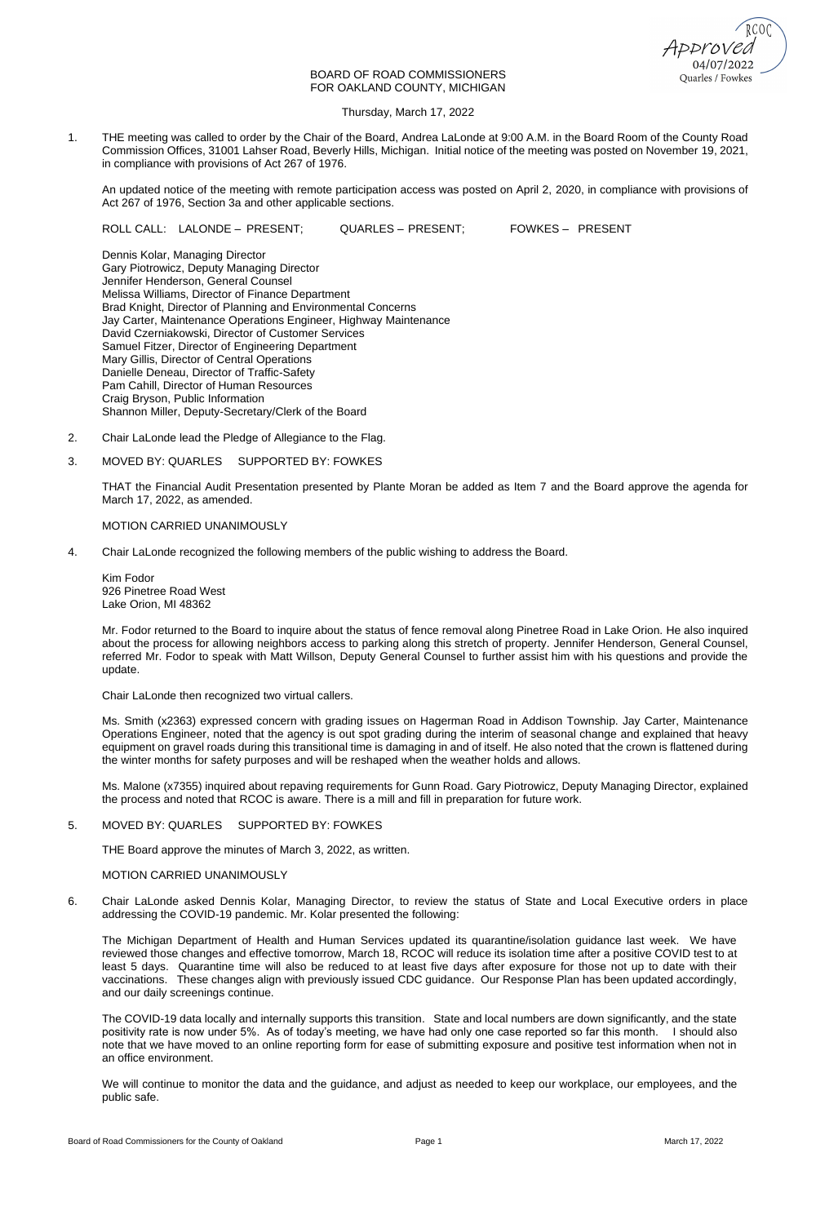Quarles / Fowkes

# BOARD OF ROAD COMMISSIONERS FOR OAKLAND COUNTY, MICHIGAN

Thursday, March 17, 2022

1. THE meeting was called to order by the Chair of the Board, Andrea LaLonde at 9:00 A.M. in the Board Room of the County Road Commission Offices, 31001 Lahser Road, Beverly Hills, Michigan. Initial notice of the meeting was posted on November 19, 2021, in compliance with provisions of Act 267 of 1976.

An updated notice of the meeting with remote participation access was posted on April 2, 2020, in compliance with provisions of Act 267 of 1976, Section 3a and other applicable sections.

ROLL CALL: LALONDE – PRESENT; QUARLES – PRESENT; FOWKES – PRESENT

Dennis Kolar, Managing Director Gary Piotrowicz, Deputy Managing Director Jennifer Henderson, General Counsel Melissa Williams, Director of Finance Department Brad Knight, Director of Planning and Environmental Concerns Jay Carter, Maintenance Operations Engineer, Highway Maintenance David Czerniakowski, Director of Customer Services Samuel Fitzer, Director of Engineering Department Mary Gillis, Director of Central Operations Danielle Deneau, Director of Traffic-Safety Pam Cahill, Director of Human Resources Craig Bryson, Public Information Shannon Miller, Deputy-Secretary/Clerk of the Board

- 2. Chair LaLonde lead the Pledge of Allegiance to the Flag.
- 3. MOVED BY: QUARLES SUPPORTED BY: FOWKES

THAT the Financial Audit Presentation presented by Plante Moran be added as Item 7 and the Board approve the agenda for March 17, 2022, as amended.

# MOTION CARRIED UNANIMOUSLY

4. Chair LaLonde recognized the following members of the public wishing to address the Board.

Kim Fodor 926 Pinetree Road West Lake Orion, MI 48362

Mr. Fodor returned to the Board to inquire about the status of fence removal along Pinetree Road in Lake Orion. He also inquired about the process for allowing neighbors access to parking along this stretch of property. Jennifer Henderson, General Counsel, referred Mr. Fodor to speak with Matt Willson, Deputy General Counsel to further assist him with his questions and provide the update.

Chair LaLonde then recognized two virtual callers.

Ms. Smith (x2363) expressed concern with grading issues on Hagerman Road in Addison Township. Jay Carter, Maintenance Operations Engineer, noted that the agency is out spot grading during the interim of seasonal change and explained that heavy equipment on gravel roads during this transitional time is damaging in and of itself. He also noted that the crown is flattened during the winter months for safety purposes and will be reshaped when the weather holds and allows.

Ms. Malone (x7355) inquired about repaving requirements for Gunn Road. Gary Piotrowicz, Deputy Managing Director, explained the process and noted that RCOC is aware. There is a mill and fill in preparation for future work.

# 5. MOVED BY: QUARLES SUPPORTED BY: FOWKES

THE Board approve the minutes of March 3, 2022, as written.

# MOTION CARRIED UNANIMOUSLY

6. Chair LaLonde asked Dennis Kolar, Managing Director, to review the status of State and Local Executive orders in place addressing the COVID-19 pandemic. Mr. Kolar presented the following:

The Michigan Department of Health and Human Services updated its quarantine/isolation guidance last week. We have reviewed those changes and effective tomorrow, March 18, RCOC will reduce its isolation time after a positive COVID test to at least 5 days. Quarantine time will also be reduced to at least five days after exposure for those not up to date with their vaccinations. These changes align with previously issued CDC guidance. Our Response Plan has been updated accordingly, and our daily screenings continue.

The COVID-19 data locally and internally supports this transition. State and local numbers are down significantly, and the state positivity rate is now under 5%. As of today's meeting, we have had only one case reported so far this month. I should also note that we have moved to an online reporting form for ease of submitting exposure and positive test information when not in an office environment.

We will continue to monitor the data and the guidance, and adjust as needed to keep our workplace, our employees, and the public safe.

Board of Road Commissioners for the County of Oakland **Page 1** Page 1 March 17, 2022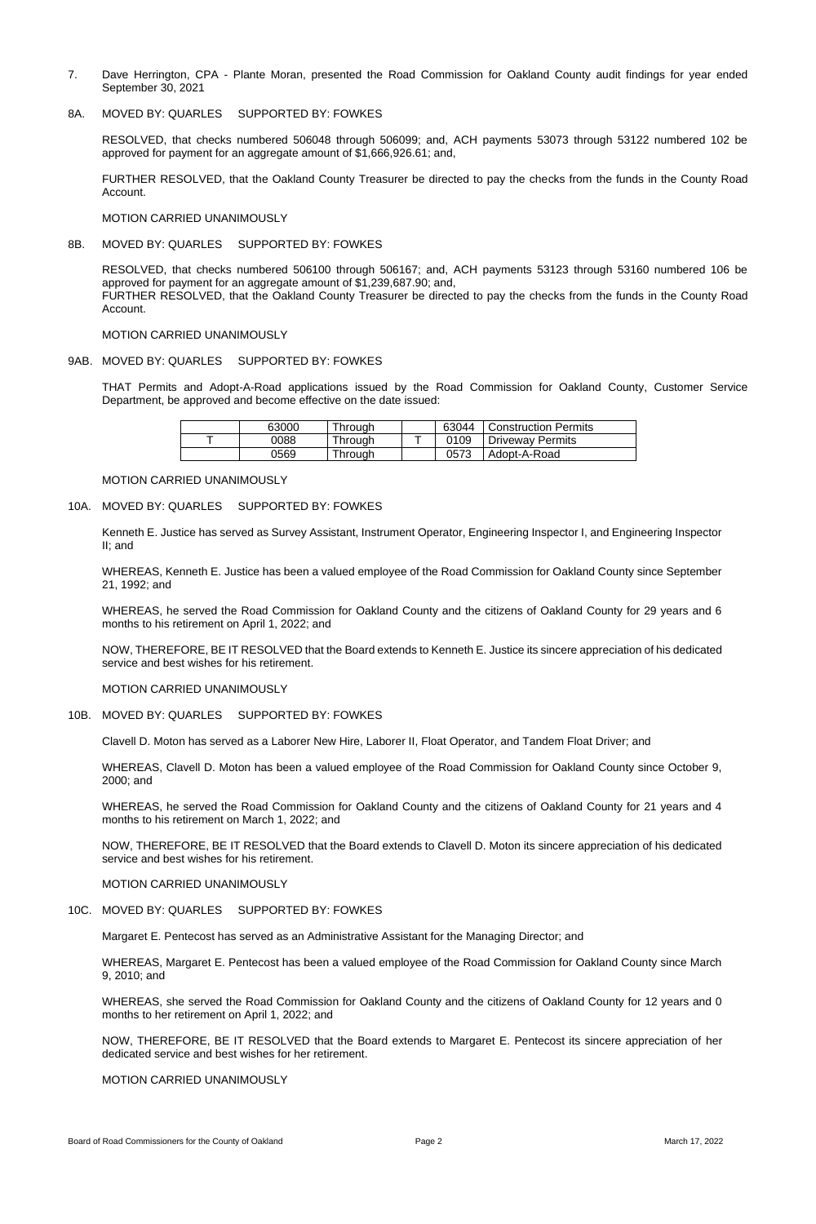- 7. Dave Herrington, CPA Plante Moran, presented the Road Commission for Oakland County audit findings for year ended September 30, 2021
- 8A. MOVED BY: QUARLES SUPPORTED BY: FOWKES

RESOLVED, that checks numbered 506048 through 506099; and, ACH payments 53073 through 53122 numbered 102 be approved for payment for an aggregate amount of \$1,666,926.61; and,

FURTHER RESOLVED, that the Oakland County Treasurer be directed to pay the checks from the funds in the County Road Account.

MOTION CARRIED UNANIMOUSLY

8B. MOVED BY: QUARLES SUPPORTED BY: FOWKES

RESOLVED, that checks numbered 506100 through 506167; and, ACH payments 53123 through 53160 numbered 106 be approved for payment for an aggregate amount of \$1,239,687.90; and, FURTHER RESOLVED, that the Oakland County Treasurer be directed to pay the checks from the funds in the County Road Account.

MOTION CARRIED UNANIMOUSLY

#### 9AB. MOVED BY: QUARLES SUPPORTED BY: FOWKES

THAT Permits and Adopt-A-Road applications issued by the Road Commission for Oakland County, Customer Service Department, be approved and become effective on the date issued:

| 63000 | Through | 63044 | <b>Construction Permits</b> |
|-------|---------|-------|-----------------------------|
| 0088  | Through | 0109  | <b>Driveway Permits</b>     |
| 0569  | Through | 0573  | Adopt-A-Road                |

#### MOTION CARRIED UNANIMOUSLY

## 10A. MOVED BY: QUARLES SUPPORTED BY: FOWKES

Kenneth E. Justice has served as Survey Assistant, Instrument Operator, Engineering Inspector I, and Engineering Inspector II; and

WHEREAS, Kenneth E. Justice has been a valued employee of the Road Commission for Oakland County since September 21, 1992; and

WHEREAS, he served the Road Commission for Oakland County and the citizens of Oakland County for 29 years and 6 months to his retirement on April 1, 2022; and

NOW, THEREFORE, BE IT RESOLVED that the Board extends to Kenneth E. Justice its sincere appreciation of his dedicated service and best wishes for his retirement.

MOTION CARRIED UNANIMOUSLY

#### 10B. MOVED BY: QUARLES SUPPORTED BY: FOWKES

Clavell D. Moton has served as a Laborer New Hire, Laborer II, Float Operator, and Tandem Float Driver; and

WHEREAS, Clavell D. Moton has been a valued employee of the Road Commission for Oakland County since October 9, 2000; and

WHEREAS, he served the Road Commission for Oakland County and the citizens of Oakland County for 21 years and 4 months to his retirement on March 1, 2022; and

NOW, THEREFORE, BE IT RESOLVED that the Board extends to Clavell D. Moton its sincere appreciation of his dedicated

service and best wishes for his retirement.

MOTION CARRIED UNANIMOUSLY

# 10C. MOVED BY: QUARLES SUPPORTED BY: FOWKES

Margaret E. Pentecost has served as an Administrative Assistant for the Managing Director; and

WHEREAS, Margaret E. Pentecost has been a valued employee of the Road Commission for Oakland County since March 9, 2010; and

WHEREAS, she served the Road Commission for Oakland County and the citizens of Oakland County for 12 years and 0 months to her retirement on April 1, 2022; and

NOW, THEREFORE, BE IT RESOLVED that the Board extends to Margaret E. Pentecost its sincere appreciation of her dedicated service and best wishes for her retirement.

MOTION CARRIED UNANIMOUSLY

Board of Road Commissioners for the County of Oakland **Page 2** Page 2 March 17, 2022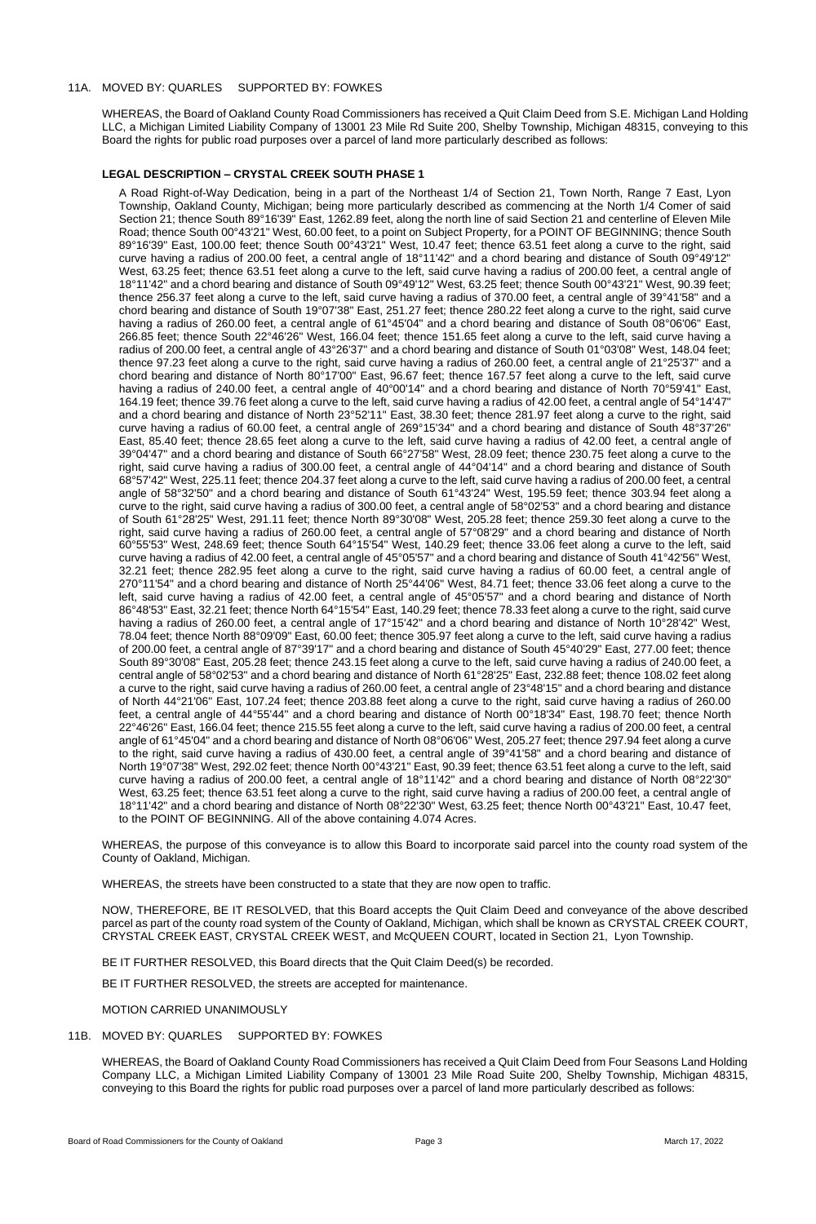# 11A. MOVED BY: QUARLES SUPPORTED BY: FOWKES

WHEREAS, the Board of Oakland County Road Commissioners has received a Quit Claim Deed from S.E. Michigan Land Holding LLC, a Michigan Limited Liability Company of 13001 23 Mile Rd Suite 200, Shelby Township, Michigan 48315, conveying to this Board the rights for public road purposes over a parcel of land more particularly described as follows:

# **LEGAL DESCRIPTION – CRYSTAL CREEK SOUTH PHASE 1**

A Road Right-of-Way Dedication, being in a part of the Northeast 1/4 of Section 21, Town North, Range 7 East, Lyon Township, Oakland County, Michigan; being more particularly described as commencing at the North 1/4 Comer of said Section 21; thence South 89°16'39" East, 1262.89 feet, along the north line of said Section 21 and centerline of Eleven Mile Road; thence South 00°43'21" West, 60.00 feet, to a point on Subject Property, for a POINT OF BEGINNING; thence South 89°16'39" East, 100.00 feet; thence South 00°43'21" West, 10.47 feet; thence 63.51 feet along a curve to the right, said curve having a radius of 200.00 feet, a central angle of 18°11'42" and a chord bearing and distance of South 09°49'12" West, 63.25 feet; thence 63.51 feet along a curve to the left, said curve having a radius of 200.00 feet, a central angle of 18°11'42" and a chord bearing and distance of South 09°49'12" West, 63.25 feet; thence South 00°43'21" West, 90.39 feet; thence 256.37 feet along a curve to the left, said curve having a radius of 370.00 feet, a central angle of 39°41'58" and a chord bearing and distance of South 19°07'38" East, 251.27 feet; thence 280.22 feet along a curve to the right, said curve having a radius of 260.00 feet, a central angle of 61°45'04" and a chord bearing and distance of South 08°06'06" East, 266.85 feet; thence South 22°46'26" West, 166.04 feet; thence 151.65 feet along a curve to the left, said curve having a radius of 200.00 feet, a central angle of 43°26'37" and a chord bearing and distance of South 01°03'08" West, 148.04 feet; thence 97.23 feet along a curve to the right, said curve having a radius of 260.00 feet, a central angle of 21°25'37" and a chord bearing and distance of North 80°17'00" East, 96.67 feet; thence 167.57 feet along a curve to the left, said curve having a radius of 240.00 feet, a central angle of 40°00'14" and a chord bearing and distance of North 70°59'41" East, 164.19 feet; thence 39.76 feet along a curve to the left, said curve having a radius of 42.00 feet, a central angle of 54°14'47" and a chord bearing and distance of North 23°52'11" East, 38.30 feet; thence 281.97 feet along a curve to the right, said curve having a radius of 60.00 feet, a central angle of 269°15'34" and a chord bearing and distance of South 48°37'26" East, 85.40 feet; thence 28.65 feet along a curve to the left, said curve having a radius of 42.00 feet, a central angle of 39°04'47" and a chord bearing and distance of South 66°27'58" West, 28.09 feet; thence 230.75 feet along a curve to the right, said curve having a radius of 300.00 feet, a central angle of 44°04'14" and a chord bearing and distance of South 68°57'42" West, 225.11 feet; thence 204.37 feet along a curve to the left, said curve having a radius of 200.00 feet, a central angle of 58°32'50" and a chord bearing and distance of South 61°43'24" West, 195.59 feet; thence 303.94 feet along a curve to the right, said curve having a radius of 300.00 feet, a central angle of 58°02'53" and a chord bearing and distance of South 61°28'25" West, 291.11 feet; thence North 89°30'08" West, 205.28 feet; thence 259.30 feet along a curve to the right, said curve having a radius of 260.00 feet, a central angle of 57°08'29" and a chord bearing and distance of North 60°55'53" West, 248.69 feet; thence South 64°15'54" West, 140.29 feet; thence 33.06 feet along a curve to the left, said curve having a radius of 42.00 feet, a central angle of 45°05'57" and a chord bearing and distance of South 41°42'56" West, 32.21 feet; thence 282.95 feet along a curve to the right, said curve having a radius of 60.00 feet, a central angle of 270°11'54" and a chord bearing and distance of North 25°44'06" West, 84.71 feet; thence 33.06 feet along a curve to the left, said curve having a radius of 42.00 feet, a central angle of 45°05'57" and a chord bearing and distance of North 86°48'53" East, 32.21 feet; thence North 64°15'54" East, 140.29 feet; thence 78.33 feet along a curve to the right, said curve having a radius of 260.00 feet, a central angle of 17°15'42" and a chord bearing and distance of North 10°28'42" West, 78.04 feet; thence North 88°09'09" East, 60.00 feet; thence 305.97 feet along a curve to the left, said curve having a radius of 200.00 feet, a central angle of 87°39'17" and a chord bearing and distance of South 45°40'29" East, 277.00 feet; thence South 89°30'08" East, 205.28 feet; thence 243.15 feet along a curve to the left, said curve having a radius of 240.00 feet, a central angle of 58°02'53" and a chord bearing and distance of North 61°28'25" East, 232.88 feet; thence 108.02 feet along a curve to the right, said curve having a radius of 260.00 feet, a central angle of 23°48'15" and a chord bearing and distance of North 44°21'06" East, 107.24 feet; thence 203.88 feet along a curve to the right, said curve having a radius of 260.00 feet, a central angle of 44°55'44" and a chord bearing and distance of North 00°18'34" East, 198.70 feet; thence North 22°46'26" East, 166.04 feet; thence 215.55 feet along a curve to the left, said curve having a radius of 200.00 feet, a central angle of 61°45'04" and a chord bearing and distance of North 08°06'06" West, 205.27 feet; thence 297.94 feet along a curve to the right, said curve having a radius of 430.00 feet, a central angle of 39°41'58" and a chord bearing and distance of North 19°07'38" West, 292.02 feet; thence North 00°43'21" East, 90.39 feet; thence 63.51 feet along a curve to the left, said curve having a radius of 200.00 feet, a central angle of 18°11'42" and a chord bearing and distance of North 08°22'30" West, 63.25 feet; thence 63.51 feet along a curve to the right, said curve having a radius of 200.00 feet, a central angle of 18°11'42" and a chord bearing and distance of North 08°22'30" West, 63.25 feet; thence North 00°43'21" East, 10.47 feet, to the POINT OF BEGINNING. All of the above containing 4.074 Acres.

WHEREAS, the purpose of this conveyance is to allow this Board to incorporate said parcel into the county road system of the

County of Oakland, Michigan.

WHEREAS, the streets have been constructed to a state that they are now open to traffic.

NOW, THEREFORE, BE IT RESOLVED, that this Board accepts the Quit Claim Deed and conveyance of the above described parcel as part of the county road system of the County of Oakland, Michigan, which shall be known as CRYSTAL CREEK COURT, CRYSTAL CREEK EAST, CRYSTAL CREEK WEST, and McQUEEN COURT, located in Section 21, Lyon Township.

BE IT FURTHER RESOLVED, this Board directs that the Quit Claim Deed(s) be recorded.

BE IT FURTHER RESOLVED, the streets are accepted for maintenance.

MOTION CARRIED UNANIMOUSLY

# 11B. MOVED BY: QUARLES SUPPORTED BY: FOWKES

WHEREAS, the Board of Oakland County Road Commissioners has received a Quit Claim Deed from Four Seasons Land Holding Company LLC, a Michigan Limited Liability Company of 13001 23 Mile Road Suite 200, Shelby Township, Michigan 48315, conveying to this Board the rights for public road purposes over a parcel of land more particularly described as follows:

Board of Road Commissioners for the County of Oakland **Page 3** Page 3 March 17, 2022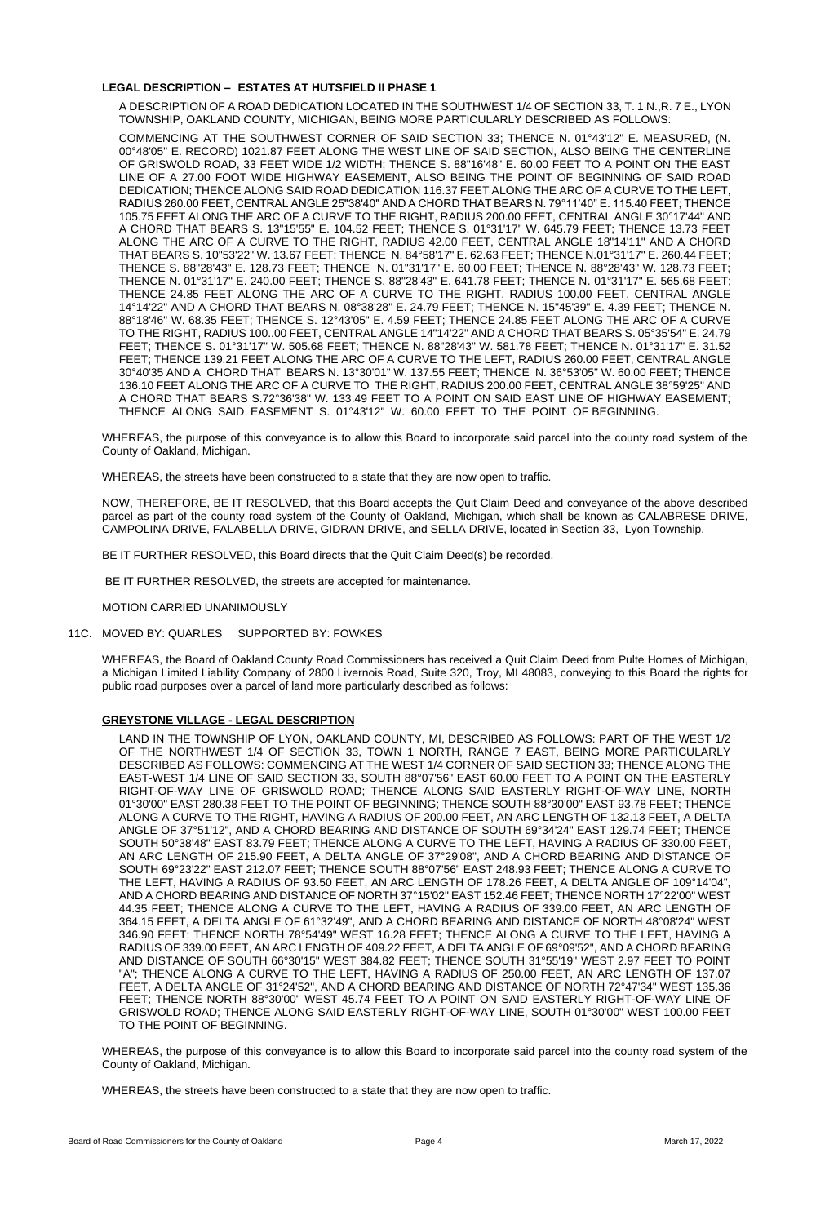# **LEGAL DESCRIPTION – ESTATES AT HUTSFIELD II PHASE 1**

A DESCRIPTION OF A ROAD DEDICATION LOCATED IN THE SOUTHWEST 1/4 OF SECTION 33, T. 1 N.,R. 7 E., LYON TOWNSHIP, OAKLAND COUNTY, MICHIGAN, BEING MORE PARTICULARLY DESCRIBED AS FOLLOWS:

COMMENCING AT THE SOUTHWEST CORNER OF SAID SECTION 33; THENCE N. 01°43'12" E. MEASURED, (N. 00°48'05" E. RECORD) 1021.87 FEET ALONG THE WEST LINE OF SAID SECTION, ALSO BEING THE CENTERLINE OF GRISWOLD ROAD, 33 FEET WIDE 1/2 WIDTH; THENCE S. 88"16'48" E. 60.00 FEET TO A POINT ON THE EAST LINE OF A 27.00 FOOT WIDE HIGHWAY EASEMENT, ALSO BEING THE POINT OF BEGINNING OF SAID ROAD DEDICATION; THENCE ALONG SAID ROAD DEDICATION 116.37 FEET ALONG THE ARC OF A CURVE TO THE LEFT, RADIUS 260.00 FEET, CENTRAL ANGLE 25"38'40" AND A CHORD THAT BEARS N. 79°11'40" E. 115.40 FEET; THENCE 105.75 FEET ALONG THE ARC OF A CURVE TO THE RIGHT, RADIUS 200.00 FEET, CENTRAL ANGLE 30°17'44" AND A CHORD THAT BEARS S. 13"15'55" E. 104.52 FEET; THENCE S. 01°31'17" W. 645.79 FEET; THENCE 13.73 FEET ALONG THE ARC OF A CURVE TO THE RIGHT, RADIUS 42.00 FEET, CENTRAL ANGLE 18"14'11" AND A CHORD THAT BEARS S. 10"53'22" W. 13.67 FEET; THENCE N. 84°58'17" E. 62.63 FEET; THENCE N.01°31'17" E. 260.44 FEET; THENCE S. 88"28'43" E. 128.73 FEET; THENCE N. 01"31'17" E. 60.00 FEET; THENCE N. 88°28'43" W. 128.73 FEET; THENCE N. 01°31'17" E. 240.00 FEET; THENCE S. 88"28'43" E. 641.78 FEET; THENCE N. 01°31'17" E. 565.68 FEET; THENCE 24.85 FEET ALONG THE ARC OF A CURVE TO THE RIGHT, RADIUS 100.00 FEET, CENTRAL ANGLE 14°14'22" AND A CHORD THAT BEARS N. 08°38'28" E. 24.79 FEET; THENCE N. 15"45'39" E. 4.39 FEET; THENCE N. 88°18'46" W. 68.35 FEET; THENCE S. 12°43'05" E. 4.59 FEET; THENCE 24.85 FEET ALONG THE ARC OF A CURVE TO THE RIGHT, RADIUS 100..00 FEET, CENTRAL ANGLE 14"14'22" AND A CHORD THAT BEARS S. 05°35'54" E. 24.79 FEET; THENCE S. 01°31'17" W. 505.68 FEET; THENCE N. 88"28'43" W. 581.78 FEET; THENCE N. 01°31'17" E. 31.52 FEET; THENCE 139.21 FEET ALONG THE ARC OF A CURVE TO THE LEFT, RADIUS 260.00 FEET, CENTRAL ANGLE 30°40'35 AND A CHORD THAT BEARS N. 13°30'01" W. 137.55 FEET; THENCE N. 36°53'05" W. 60.00 FEET; THENCE 136.10 FEET ALONG THE ARC OF A CURVE TO THE RIGHT, RADIUS 200.00 FEET, CENTRAL ANGLE 38°59'25" AND A CHORD THAT BEARS S.72°36'38" W. 133.49 FEET TO A POINT ON SAID EAST LINE OF HIGHWAY EASEMENT; THENCE ALONG SAID EASEMENT S. 01°43'12" W. 60.00 FEET TO THE POINT OF BEGINNING.

WHEREAS, the purpose of this conveyance is to allow this Board to incorporate said parcel into the county road system of the County of Oakland, Michigan.

WHEREAS, the streets have been constructed to a state that they are now open to traffic.

NOW, THEREFORE, BE IT RESOLVED, that this Board accepts the Quit Claim Deed and conveyance of the above described parcel as part of the county road system of the County of Oakland, Michigan, which shall be known as CALABRESE DRIVE, CAMPOLINA DRIVE, FALABELLA DRIVE, GIDRAN DRIVE, and SELLA DRIVE, located in Section 33, Lyon Township.

BE IT FURTHER RESOLVED, this Board directs that the Quit Claim Deed(s) be recorded.

BE IT FURTHER RESOLVED, the streets are accepted for maintenance.

MOTION CARRIED UNANIMOUSLY

11C. MOVED BY: QUARLES SUPPORTED BY: FOWKES

WHEREAS, the Board of Oakland County Road Commissioners has received a Quit Claim Deed from Pulte Homes of Michigan, a Michigan Limited Liability Company of 2800 Livernois Road, Suite 320, Troy, MI 48083, conveying to this Board the rights for public road purposes over a parcel of land more particularly described as follows:

## **GREYSTONE VILLAGE - LEGAL DESCRIPTION**

LAND IN THE TOWNSHIP OF LYON, OAKLAND COUNTY, MI, DESCRIBED AS FOLLOWS: PART OF THE WEST 1/2 OF THE NORTHWEST 1/4 OF SECTION 33, TOWN 1 NORTH, RANGE 7 EAST, BEING MORE PARTICULARLY DESCRIBED AS FOLLOWS: COMMENCING AT THE WEST 1/4 CORNER OF SAID SECTION 33; THENCE ALONG THE EAST-WEST 1/4 LINE OF SAID SECTION 33, SOUTH 88°07'56" EAST 60.00 FEET TO A POINT ON THE EASTERLY RIGHT-OF-WAY LINE OF GRISWOLD ROAD; THENCE ALONG SAID EASTERLY RIGHT-OF-WAY LINE, NORTH 01°30'00" EAST 280.38 FEET TO THE POINT OF BEGINNING; THENCE SOUTH 88°30'00" EAST 93.78 FEET; THENCE ALONG A CURVE TO THE RIGHT, HAVING A RADIUS OF 200.00 FEET, AN ARC LENGTH OF 132.13 FEET, A DELTA ANGLE OF 37°51'12", AND A CHORD BEARING AND DISTANCE OF SOUTH 69°34'24" EAST 129.74 FEET; THENCE SOUTH 50°38'48" EAST 83.79 FEET; THENCE ALONG A CURVE TO THE LEFT, HAVING A RADIUS OF 330.00 FEET, AN ARC LENGTH OF 215.90 FEET, A DELTA ANGLE OF 37°29'08", AND A CHORD BEARING AND DISTANCE OF SOUTH 69°23'22" EAST 212.07 FEET; THENCE SOUTH 88°07'56" EAST 248.93 FEET; THENCE ALONG A CURVE TO THE LEFT, HAVING A RADIUS OF 93.50 FEET, AN ARC LENGTH OF 178.26 FEET, A DELTA ANGLE OF 109°14'04", AND A CHORD BEARING AND DISTANCE OF NORTH 37°15'02" EAST 152.46 FEET; THENCE NORTH 17°22'00" WEST 44.35 FEET; THENCE ALONG A CURVE TO THE LEFT, HAVING A RADIUS OF 339.00 FEET, AN ARC LENGTH OF 364.15 FEET, A DELTA ANGLE OF 61°32'49", AND A CHORD BEARING AND DISTANCE OF NORTH 48°08'24" WEST 346.90 FEET; THENCE NORTH 78°54'49" WEST 16.28 FEET; THENCE ALONG A CURVE TO THE LEFT, HAVING A RADIUS OF 339.00 FEET, AN ARC LENGTH OF 409.22 FEET, A DELTA ANGLE OF 69°09'52", AND A CHORD BEARING AND DISTANCE OF SOUTH 66°30'15" WEST 384.82 FEET; THENCE SOUTH 31°55'19" WEST 2.97 FEET TO POINT "A"; THENCE ALONG A CURVE TO THE LEFT, HAVING A RADIUS OF 250.00 FEET, AN ARC LENGTH OF 137.07 FEET, A DELTA ANGLE OF 31°24'52", AND A CHORD BEARING AND DISTANCE OF NORTH 72°47'34" WEST 135.36 FEET; THENCE NORTH 88°30'00" WEST 45.74 FEET TO A POINT ON SAID EASTERLY RIGHT-OF-WAY LINE OF GRISWOLD ROAD; THENCE ALONG SAID EASTERLY RIGHT-OF-WAY LINE, SOUTH 01°30'00" WEST 100.00 FEET TO THE POINT OF BEGINNING.

WHEREAS, the purpose of this conveyance is to allow this Board to incorporate said parcel into the county road system of the County of Oakland, Michigan.

WHEREAS, the streets have been constructed to a state that they are now open to traffic.

Board of Road Commissioners for the County of Oakland **Page 4** Page 4 March 17, 2022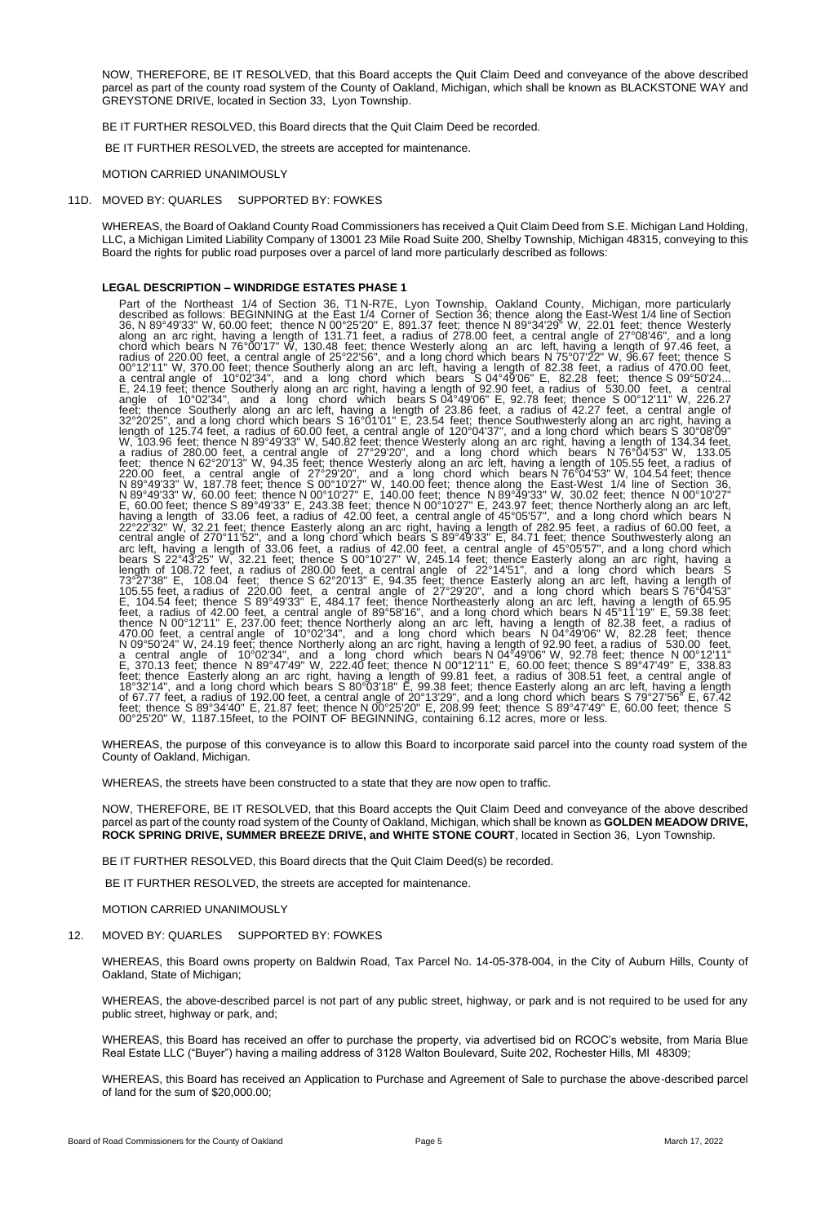NOW, THEREFORE, BE IT RESOLVED, that this Board accepts the Quit Claim Deed and conveyance of the above described parcel as part of the county road system of the County of Oakland, Michigan, which shall be known as BLACKSTONE WAY and GREYSTONE DRIVE, located in Section 33, Lyon Township.

BE IT FURTHER RESOLVED, this Board directs that the Quit Claim Deed be recorded.

BE IT FURTHER RESOLVED, the streets are accepted for maintenance.

MOTION CARRIED UNANIMOUSLY

#### 11D. MOVED BY: QUARLES SUPPORTED BY: FOWKES

WHEREAS, the Board of Oakland County Road Commissioners has received a Quit Claim Deed from S.E. Michigan Land Holding, LLC, a Michigan Limited Liability Company of 13001 23 Mile Road Suite 200, Shelby Township, Michigan 48315, conveying to this Board the rights for public road purposes over a parcel of land more particularly described as follows:

#### **LEGAL DESCRIPTION – WINDRIDGE ESTATES PHASE 1**

Part of the Northeast 1/4 of Section 36, T1 N-R7E, Lyon Township, Oakland County, Michigan, more particularly described as follows: BEGINNING at the East 1/4 Corner of Section 36; thence along the East-West 1/4 line of Section 36, N 89°49'33" W, 60.00 feet; thence N 00°25'20" E, 891.37 feet; thence N 89°34'29" W, 22.01 feet; thence Westerly along an arc right, having a length of 131.71 feet, a radius of 278.00 feet, a central angle of 27°08'46", and a long chord which bears N 76°00'17" W, 130.48 feet; thence Westerly along an arc left, having a length of 97.46 feet, a radius of 220.00 feet, a central angle of 25°22'56", and a long chord which bears N 75°07'22" W, 96.67 feet; thence S 00°12'11" W, 370.00 feet; thence Southerly along an arc left, having a length of 82.38 feet, a radius of 470.00 feet, a central angle of 10°02'34", and a long chord which bears S 04°49'06" E, 82.28 feet; thence S 09°50'24... E, 24.19 feet; thence Southerly along an arc right, having a length of 92.90 feet, a radius of 530.00 feet, a central angle of 10°02'34", and a long chord which bears S 04°49'06" E, 92.78 feet; thence S 00°12'11" W, 226.27 feet; thence Southerly along an arc left, having a length of 23.86 feet, a radius of 42.27 feet, a central angle of 32°20'25", and a long chord which bears S 16°01'01" E, 23.54 feet; thence Southwesterly along an arc right, having a length of 125.74 feet, a radius of 60.00 feet, a central angle of 120°04'37", and a long chord which bears S 30°08'09" W, 103.96 feet; thence N 89°49'33" W, 540.82 feet; thence Westerly along an arc right, having a length of 134.34 feet, a radius of 280.00 feet, a central angle of 27°29'20", and a long chord which bears N 76°04'53" W, 133.05 feet; thence N 62°20'13" W, 94.35 feet; thence Westerly along an arc left, having a length of 105.55 feet, a radius of 220.00 feet, a central angle of 27°29'20", and a long chord which bears N 76°04'53" W, 104.54 feet; thence N 89°49'33" W, 187.78 feet; thence S 00°10'27" W, 140.00 feet; thence along the East-West 1/4 line of Section 36, N 89°49'33" W, 60.00 feet; thence N 00°10'27" E, 140.00 feet; thence N 89°49'33" W, 30.02 feet; thence N 00°10'27" E, 60.00 feet; thence S 89°49'33" E, 243.38 feet; thence N 00°10'27" E, 243.97 feet; thence Northerly along an arc left, having a length of 33.06 feet, a radius of 42.00 feet, a central angle of 45°05'57", and a long chord which bears N 22°22'32" W, 32.21 feet; thence Easterly along an arc right, having a length of 282.95 feet, a radius of 60.00 feet, a central angle of 270°11'52", and a long chord which bears S 89°49'33" E, 84.71 feet; thence Southwesterly along an arc left, having a length of 33.06 feet, a radius of 42.00 feet, a central angle of 45°05'57", and a long chord which bears S 22°43'25" W, 32.21 feet; thence S 00°10'27" W, 245.14 feet; thence Easterly along an arc right, having a length of 108.72 feet, a radius of 280.00 feet, a central angle of 22°14'51", and a long chord which bears S 73°27'38" E, 108.04 feet; thence S 62°20'13" E, 94.35 feet; thence Easterly along an arc left, having a length of 105.55 feet, a radius of 220.00 feet, a central angle of 27°29'20", and a long chord which bears S 76°04'53" E, 104.54 feet; thence S 89°49'33" E, 484.17 feet; thence Northeasterly along an arc left, having a length of 65.95 feet, a radius of 42.00 feet, a central angle of 89°58'16", and a long chord which bears N 45°11'19" E, 59.38 feet; thence N 00°12'11" E, 237.00 feet; thence Northerly along an arc left, having a length of 82.38 feet, a radius of 470.00 feet, a central angle of 10°02'34", and a long chord which bears N 04°49'06" W, 82.28 feet; thence N 09°50'24" W, 24.19 feet; thence Northerly along an arc right, having a length of 92.90 feet, a radius of 530.00 feet, a central angle of 10°02'34", and a long chord which bears N 04<sup>s</sup>49'06" W, 92.78 feet; thence N 00°12'11" E, 370.13 feet; thence N 89°47'49" W, 222.40 feet; thence N 00°12'11" E, 60.00 feet; thence S 89°47'49" E, 338.83 feet; thence Easterly along an arc right, having a length of 99.81 feet, a radius of 308.51 feet, a central angle of 18°32'14", and a long chord which bears S 80°03'18" E, 99.38 feet; thence Easterly along an arc left, having a length of 67.77 feet, a radius of 192.00 feet, a central angle of 20°13'29", and a long chord which bears S 79°27'56" E, 67.42 feet; thence S 89°34'40" E, 21.87 feet; thence N 00°25'20" E, 208.99 feet; thence S 89°47'49" E, 60.00 feet; thence S 00°25'20" W, 1187.15feet, to the POINT OF BEGINNING, containing 6.12 acres, more or less.

WHEREAS, the purpose of this conveyance is to allow this Board to incorporate said parcel into the county road system of the County of Oakland, Michigan.

WHEREAS, the streets have been constructed to a state that they are now open to traffic.

NOW, THEREFORE, BE IT RESOLVED, that this Board accepts the Quit Claim Deed and conveyance of the above described parcel as part of the county road system of the County of Oakland, Michigan, which shall be known as **GOLDEN MEADOW DRIVE, ROCK SPRING DRIVE, SUMMER BREEZE DRIVE, and WHITE STONE COURT**, located in Section 36, Lyon Township.

BE IT FURTHER RESOLVED, this Board directs that the Quit Claim Deed(s) be recorded.

BE IT FURTHER RESOLVED, the streets are accepted for maintenance.

MOTION CARRIED UNANIMOUSLY

12. MOVED BY: QUARLES SUPPORTED BY: FOWKES

WHEREAS, this Board owns property on Baldwin Road, Tax Parcel No. 14-05-378-004, in the City of Auburn Hills, County of Oakland, State of Michigan;

WHEREAS, the above-described parcel is not part of any public street, highway, or park and is not required to be used for any public street, highway or park, and;

WHEREAS, this Board has received an offer to purchase the property, via advertised bid on RCOC's website, from Maria Blue Real Estate LLC ("Buyer") having a mailing address of 3128 Walton Boulevard, Suite 202, Rochester Hills, MI 48309;

WHEREAS, this Board has received an Application to Purchase and Agreement of Sale to purchase the above-described parcel of land for the sum of \$20,000.00;

Board of Road Commissioners for the County of Oakland **Page 5** Page 5 March 17, 2022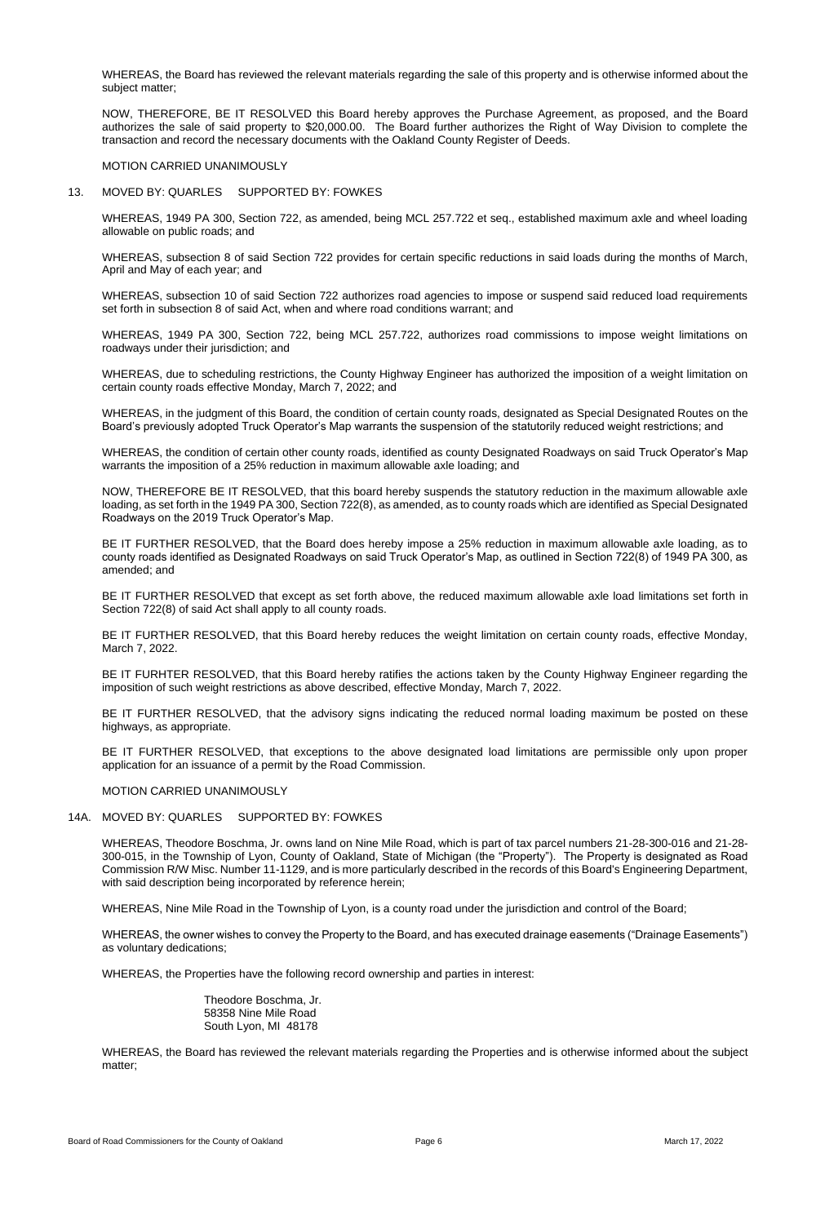WHEREAS, the Board has reviewed the relevant materials regarding the sale of this property and is otherwise informed about the subject matter;

NOW, THEREFORE, BE IT RESOLVED this Board hereby approves the Purchase Agreement, as proposed, and the Board authorizes the sale of said property to \$20,000.00. The Board further authorizes the Right of Way Division to complete the transaction and record the necessary documents with the Oakland County Register of Deeds.

### MOTION CARRIED UNANIMOUSLY

#### 13. MOVED BY: QUARLES SUPPORTED BY: FOWKES

WHEREAS, 1949 PA 300, Section 722, as amended, being MCL 257.722 et seq., established maximum axle and wheel loading allowable on public roads; and

WHEREAS, subsection 8 of said Section 722 provides for certain specific reductions in said loads during the months of March, April and May of each year; and

WHEREAS, subsection 10 of said Section 722 authorizes road agencies to impose or suspend said reduced load requirements set forth in subsection 8 of said Act, when and where road conditions warrant; and

WHEREAS, 1949 PA 300, Section 722, being MCL 257.722, authorizes road commissions to impose weight limitations on roadways under their jurisdiction; and

WHEREAS, due to scheduling restrictions, the County Highway Engineer has authorized the imposition of a weight limitation on certain county roads effective Monday, March 7, 2022; and

WHEREAS, in the judgment of this Board, the condition of certain county roads, designated as Special Designated Routes on the Board's previously adopted Truck Operator's Map warrants the suspension of the statutorily reduced weight restrictions; and

WHEREAS, the condition of certain other county roads, identified as county Designated Roadways on said Truck Operator's Map warrants the imposition of a 25% reduction in maximum allowable axle loading; and

NOW, THEREFORE BE IT RESOLVED, that this board hereby suspends the statutory reduction in the maximum allowable axle loading, as set forth in the 1949 PA 300, Section 722(8), as amended, as to county roads which are identified as Special Designated Roadways on the 2019 Truck Operator's Map.

BE IT FURTHER RESOLVED, that the Board does hereby impose a 25% reduction in maximum allowable axle loading, as to county roads identified as Designated Roadways on said Truck Operator's Map, as outlined in Section 722(8) of 1949 PA 300, as amended; and

BE IT FURTHER RESOLVED that except as set forth above, the reduced maximum allowable axle load limitations set forth in Section 722(8) of said Act shall apply to all county roads.

BE IT FURTHER RESOLVED, that this Board hereby reduces the weight limitation on certain county roads, effective Monday, March 7, 2022.

BE IT FURHTER RESOLVED, that this Board hereby ratifies the actions taken by the County Highway Engineer regarding the imposition of such weight restrictions as above described, effective Monday, March 7, 2022.

BE IT FURTHER RESOLVED, that the advisory signs indicating the reduced normal loading maximum be posted on these highways, as appropriate.

BE IT FURTHER RESOLVED, that exceptions to the above designated load limitations are permissible only upon proper application for an issuance of a permit by the Road Commission.

#### MOTION CARRIED UNANIMOUSLY

# 14A. MOVED BY: QUARLES SUPPORTED BY: FOWKES

WHEREAS, Theodore Boschma, Jr. owns land on Nine Mile Road, which is part of tax parcel numbers 21-28-300-016 and 21-28-

300-015, in the Township of Lyon, County of Oakland, State of Michigan (the "Property"). The Property is designated as Road Commission R/W Misc. Number 11-1129, and is more particularly described in the records of this Board's Engineering Department, with said description being incorporated by reference herein;

WHEREAS, Nine Mile Road in the Township of Lyon, is a county road under the jurisdiction and control of the Board;

WHEREAS, the owner wishes to convey the Property to the Board, and has executed drainage easements ("Drainage Easements") as voluntary dedications;

WHEREAS, the Properties have the following record ownership and parties in interest:

Theodore Boschma, Jr. 58358 Nine Mile Road South Lyon, MI 48178

WHEREAS, the Board has reviewed the relevant materials regarding the Properties and is otherwise informed about the subject matter;

Board of Road Commissioners for the County of Oakland **Page 6** Page 6 March 17, 2022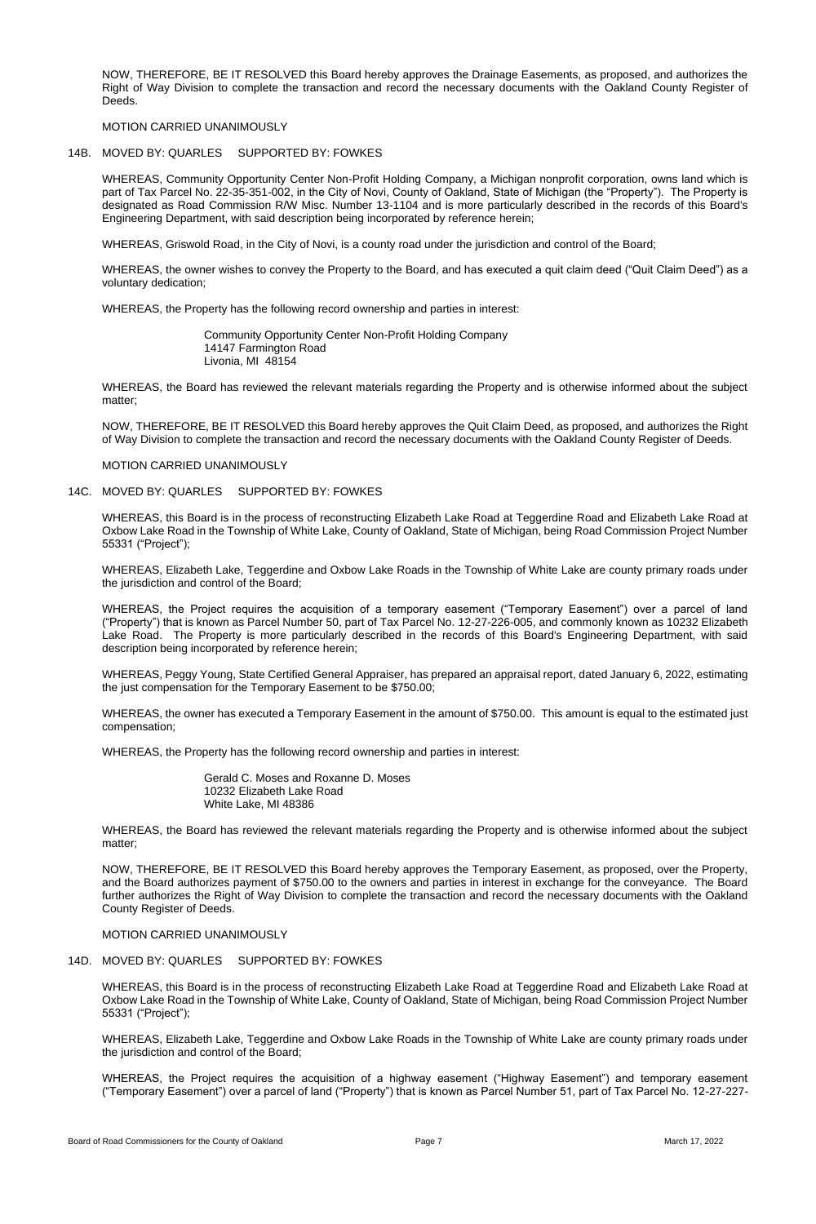NOW, THEREFORE, BE IT RESOLVED this Board hereby approves the Drainage Easements, as proposed, and authorizes the Right of Way Division to complete the transaction and record the necessary documents with the Oakland County Register of Deeds.

## MOTION CARRIED UNANIMOUSLY

# 14B. MOVED BY: QUARLES SUPPORTED BY: FOWKES

WHEREAS, Community Opportunity Center Non-Profit Holding Company, a Michigan nonprofit corporation, owns land which is part of Tax Parcel No. 22-35-351-002, in the City of Novi, County of Oakland, State of Michigan (the "Property"). The Property is designated as Road Commission R/W Misc. Number 13-1104 and is more particularly described in the records of this Board's Engineering Department, with said description being incorporated by reference herein;

WHEREAS, Griswold Road, in the City of Novi, is a county road under the jurisdiction and control of the Board;

WHEREAS, the owner wishes to convey the Property to the Board, and has executed a quit claim deed ("Quit Claim Deed") as a voluntary dedication;

WHEREAS, the Property has the following record ownership and parties in interest:

Community Opportunity Center Non-Profit Holding Company 14147 Farmington Road Livonia, MI 48154

WHEREAS, the Board has reviewed the relevant materials regarding the Property and is otherwise informed about the subject matter;

NOW, THEREFORE, BE IT RESOLVED this Board hereby approves the Quit Claim Deed, as proposed, and authorizes the Right of Way Division to complete the transaction and record the necessary documents with the Oakland County Register of Deeds.

MOTION CARRIED UNANIMOUSLY

## 14C. MOVED BY: QUARLES SUPPORTED BY: FOWKES

WHEREAS, this Board is in the process of reconstructing Elizabeth Lake Road at Teggerdine Road and Elizabeth Lake Road at Oxbow Lake Road in the Township of White Lake, County of Oakland, State of Michigan, being Road Commission Project Number 55331 ("Project");

WHEREAS, Elizabeth Lake, Teggerdine and Oxbow Lake Roads in the Township of White Lake are county primary roads under the jurisdiction and control of the Board;

WHEREAS, the Project requires the acquisition of a temporary easement ("Temporary Easement") over a parcel of land ("Property") that is known as Parcel Number 50, part of Tax Parcel No. 12-27-226-005, and commonly known as 10232 Elizabeth Lake Road. The Property is more particularly described in the records of this Board's Engineering Department, with said description being incorporated by reference herein;

WHEREAS, Peggy Young, State Certified General Appraiser, has prepared an appraisal report, dated January 6, 2022, estimating the just compensation for the Temporary Easement to be \$750.00;

WHEREAS, the owner has executed a Temporary Easement in the amount of \$750.00. This amount is equal to the estimated just compensation;

WHEREAS, the Property has the following record ownership and parties in interest:

Gerald C. Moses and Roxanne D. Moses 10232 Elizabeth Lake Road White Lake, MI 48386

WHEREAS, the Board has reviewed the relevant materials regarding the Property and is otherwise informed about the subject matter;

NOW, THEREFORE, BE IT RESOLVED this Board hereby approves the Temporary Easement, as proposed, over the Property, and the Board authorizes payment of \$750.00 to the owners and parties in interest in exchange for the conveyance. The Board further authorizes the Right of Way Division to complete the transaction and record the necessary documents with the Oakland County Register of Deeds.

MOTION CARRIED UNANIMOUSLY

# 14D. MOVED BY: QUARLES SUPPORTED BY: FOWKES

WHEREAS, this Board is in the process of reconstructing Elizabeth Lake Road at Teggerdine Road and Elizabeth Lake Road at Oxbow Lake Road in the Township of White Lake, County of Oakland, State of Michigan, being Road Commission Project Number 55331 ("Project");

WHEREAS, Elizabeth Lake, Teggerdine and Oxbow Lake Roads in the Township of White Lake are county primary roads under the jurisdiction and control of the Board;

WHEREAS, the Project requires the acquisition of a highway easement ("Highway Easement") and temporary easement ("Temporary Easement") over a parcel of land ("Property") that is known as Parcel Number 51, part of Tax Parcel No. 12-27-227-

Board of Road Commissioners for the County of Oakland **Page 7** Page 7 March 17, 2022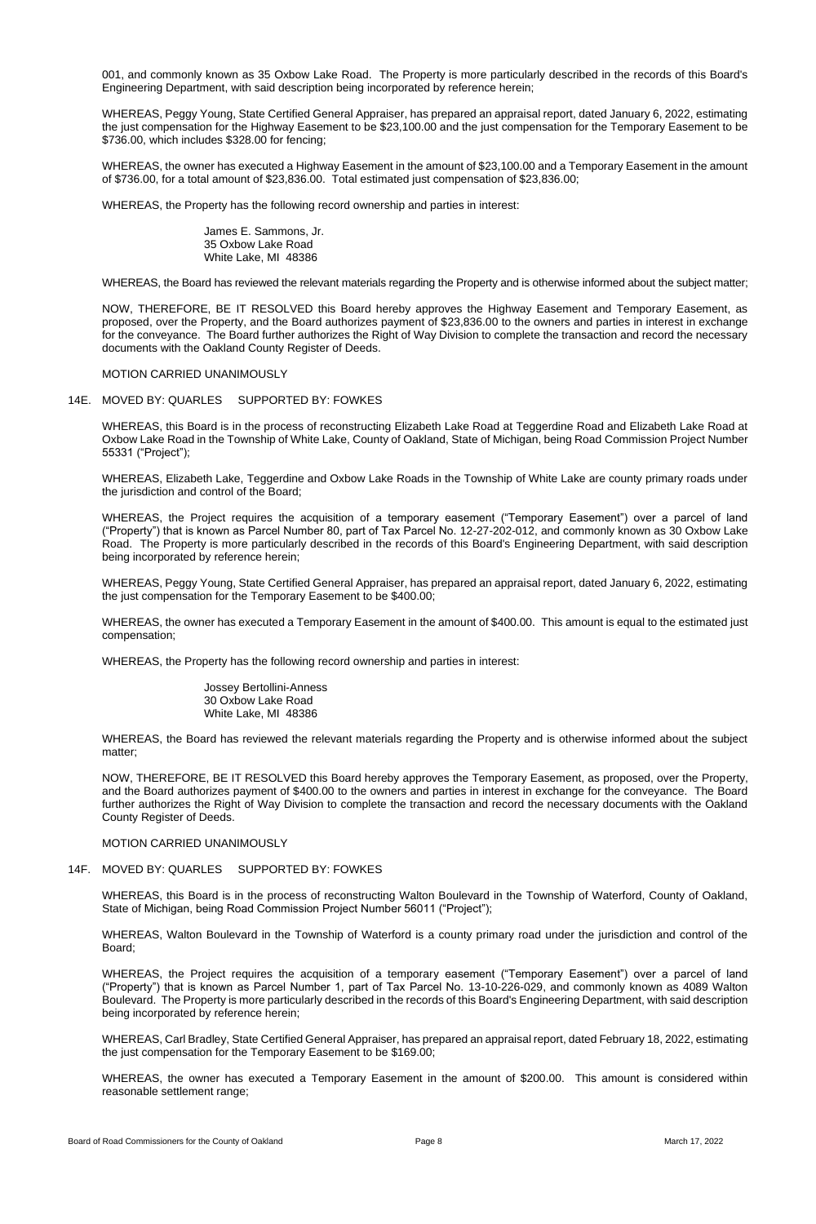001, and commonly known as 35 Oxbow Lake Road. The Property is more particularly described in the records of this Board's Engineering Department, with said description being incorporated by reference herein;

WHEREAS, Peggy Young, State Certified General Appraiser, has prepared an appraisal report, dated January 6, 2022, estimating the just compensation for the Highway Easement to be \$23,100.00 and the just compensation for the Temporary Easement to be \$736.00, which includes \$328.00 for fencing;

WHEREAS, the owner has executed a Highway Easement in the amount of \$23,100.00 and a Temporary Easement in the amount of \$736.00, for a total amount of \$23,836.00. Total estimated just compensation of \$23,836.00;

WHEREAS, the Property has the following record ownership and parties in interest:

James E. Sammons, Jr. 35 Oxbow Lake Road White Lake, MI 48386

WHEREAS, the Board has reviewed the relevant materials regarding the Property and is otherwise informed about the subject matter;

NOW, THEREFORE, BE IT RESOLVED this Board hereby approves the Highway Easement and Temporary Easement, as proposed, over the Property, and the Board authorizes payment of \$23,836.00 to the owners and parties in interest in exchange for the conveyance. The Board further authorizes the Right of Way Division to complete the transaction and record the necessary documents with the Oakland County Register of Deeds.

MOTION CARRIED UNANIMOUSLY

#### 14E. MOVED BY: QUARLES SUPPORTED BY: FOWKES

WHEREAS, this Board is in the process of reconstructing Elizabeth Lake Road at Teggerdine Road and Elizabeth Lake Road at Oxbow Lake Road in the Township of White Lake, County of Oakland, State of Michigan, being Road Commission Project Number 55331 ("Project");

WHEREAS, Elizabeth Lake, Teggerdine and Oxbow Lake Roads in the Township of White Lake are county primary roads under the jurisdiction and control of the Board;

WHEREAS, the Project requires the acquisition of a temporary easement ("Temporary Easement") over a parcel of land ("Property") that is known as Parcel Number 80, part of Tax Parcel No. 12-27-202-012, and commonly known as 30 Oxbow Lake Road. The Property is more particularly described in the records of this Board's Engineering Department, with said description being incorporated by reference herein;

WHEREAS, Peggy Young, State Certified General Appraiser, has prepared an appraisal report, dated January 6, 2022, estimating the just compensation for the Temporary Easement to be \$400.00;

WHEREAS, the owner has executed a Temporary Easement in the amount of \$400.00. This amount is equal to the estimated just compensation;

WHEREAS, the Property has the following record ownership and parties in interest:

Jossey Bertollini-Anness 30 Oxbow Lake Road White Lake, MI 48386

WHEREAS, the Board has reviewed the relevant materials regarding the Property and is otherwise informed about the subject matter;

NOW, THEREFORE, BE IT RESOLVED this Board hereby approves the Temporary Easement, as proposed, over the Property, and the Board authorizes payment of \$400.00 to the owners and parties in interest in exchange for the conveyance. The Board further authorizes the Right of Way Division to complete the transaction and record the necessary documents with the Oakland County Register of Deeds.

#### MOTION CARRIED UNANIMOUSLY

# 14F. MOVED BY: QUARLES SUPPORTED BY: FOWKES

WHEREAS, this Board is in the process of reconstructing Walton Boulevard in the Township of Waterford, County of Oakland, State of Michigan, being Road Commission Project Number 56011 ("Project");

WHEREAS, Walton Boulevard in the Township of Waterford is a county primary road under the jurisdiction and control of the Board;

WHEREAS, the Project requires the acquisition of a temporary easement ("Temporary Easement") over a parcel of land ("Property") that is known as Parcel Number 1, part of Tax Parcel No. 13-10-226-029, and commonly known as 4089 Walton Boulevard. The Property is more particularly described in the records of this Board's Engineering Department, with said description being incorporated by reference herein;

WHEREAS, Carl Bradley, State Certified General Appraiser, has prepared an appraisal report, dated February 18, 2022, estimating the just compensation for the Temporary Easement to be \$169.00;

WHEREAS, the owner has executed a Temporary Easement in the amount of \$200.00. This amount is considered within reasonable settlement range;

Board of Road Commissioners for the County of Oakland **Page 8** Page 8 March 17, 2022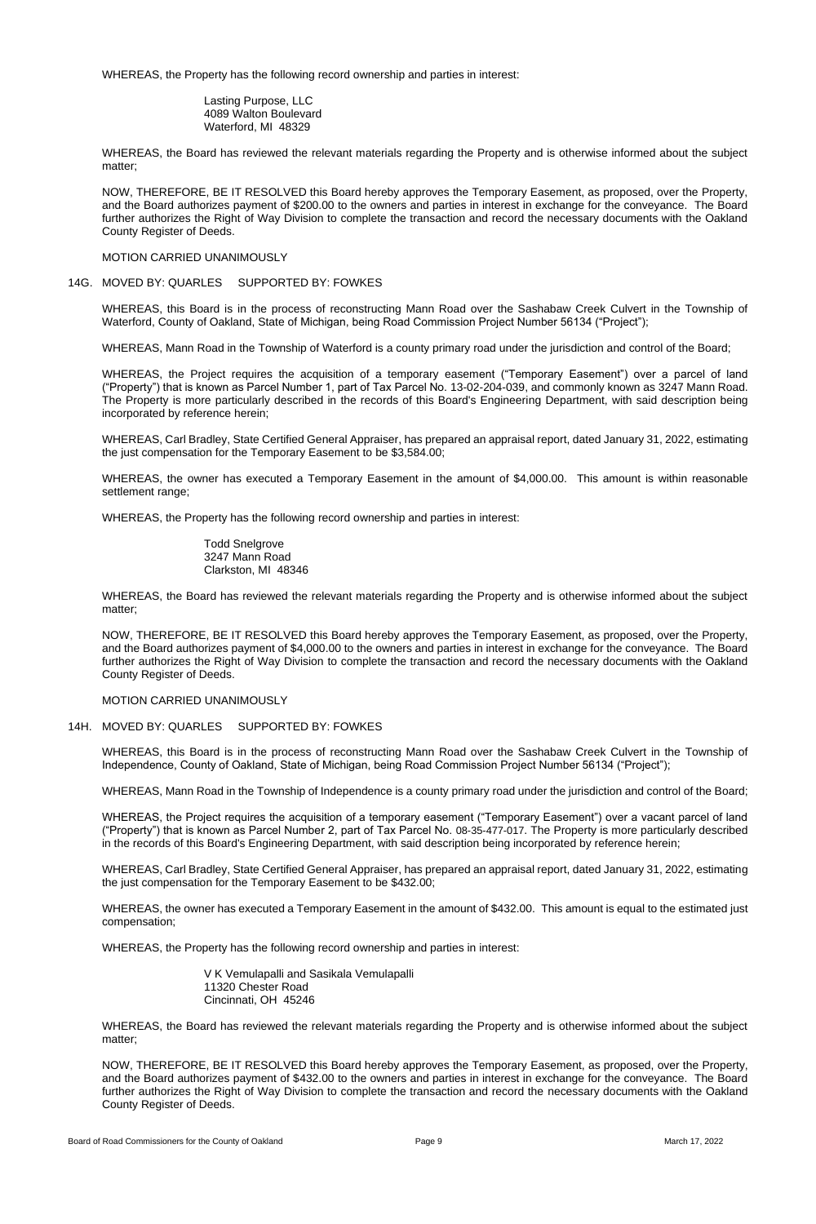WHEREAS, the Property has the following record ownership and parties in interest:

Lasting Purpose, LLC 4089 Walton Boulevard Waterford, MI 48329

WHEREAS, the Board has reviewed the relevant materials regarding the Property and is otherwise informed about the subject matter;

NOW, THEREFORE, BE IT RESOLVED this Board hereby approves the Temporary Easement, as proposed, over the Property, and the Board authorizes payment of \$200.00 to the owners and parties in interest in exchange for the conveyance. The Board further authorizes the Right of Way Division to complete the transaction and record the necessary documents with the Oakland County Register of Deeds.

# MOTION CARRIED UNANIMOUSLY

# 14G. MOVED BY: QUARLES SUPPORTED BY: FOWKES

WHEREAS, this Board is in the process of reconstructing Mann Road over the Sashabaw Creek Culvert in the Township of Waterford, County of Oakland, State of Michigan, being Road Commission Project Number 56134 ("Project");

WHEREAS, Mann Road in the Township of Waterford is a county primary road under the jurisdiction and control of the Board;

WHEREAS, the Project requires the acquisition of a temporary easement ("Temporary Easement") over a parcel of land ("Property") that is known as Parcel Number 1, part of Tax Parcel No. 13-02-204-039, and commonly known as 3247 Mann Road. The Property is more particularly described in the records of this Board's Engineering Department, with said description being incorporated by reference herein;

WHEREAS, Carl Bradley, State Certified General Appraiser, has prepared an appraisal report, dated January 31, 2022, estimating the just compensation for the Temporary Easement to be \$3,584.00;

WHEREAS, the owner has executed a Temporary Easement in the amount of \$4,000.00. This amount is within reasonable settlement range;

WHEREAS, the Property has the following record ownership and parties in interest:

Todd Snelgrove 3247 Mann Road Clarkston, MI 48346

WHEREAS, the Board has reviewed the relevant materials regarding the Property and is otherwise informed about the subject matter;

NOW, THEREFORE, BE IT RESOLVED this Board hereby approves the Temporary Easement, as proposed, over the Property, and the Board authorizes payment of \$4,000.00 to the owners and parties in interest in exchange for the conveyance. The Board further authorizes the Right of Way Division to complete the transaction and record the necessary documents with the Oakland County Register of Deeds.

## MOTION CARRIED UNANIMOUSLY

## 14H. MOVED BY: QUARLES SUPPORTED BY: FOWKES

WHEREAS, this Board is in the process of reconstructing Mann Road over the Sashabaw Creek Culvert in the Township of Independence, County of Oakland, State of Michigan, being Road Commission Project Number 56134 ("Project");

WHEREAS, Mann Road in the Township of Independence is a county primary road under the jurisdiction and control of the Board;

WHEREAS, the Project requires the acquisition of a temporary easement ("Temporary Easement") over a vacant parcel of land ("Property") that is known as Parcel Number 2, part of Tax Parcel No. 08-35-477-017. The Property is more particularly described in the records of this Board's Engineering Department, with said description being incorporated by reference herein;

WHEREAS, Carl Bradley, State Certified General Appraiser, has prepared an appraisal report, dated January 31, 2022, estimating the just compensation for the Temporary Easement to be \$432.00;

WHEREAS, the owner has executed a Temporary Easement in the amount of \$432.00. This amount is equal to the estimated just compensation;

WHEREAS, the Property has the following record ownership and parties in interest:

V K Vemulapalli and Sasikala Vemulapalli 11320 Chester Road Cincinnati, OH 45246

WHEREAS, the Board has reviewed the relevant materials regarding the Property and is otherwise informed about the subject matter;

NOW, THEREFORE, BE IT RESOLVED this Board hereby approves the Temporary Easement, as proposed, over the Property, and the Board authorizes payment of \$432.00 to the owners and parties in interest in exchange for the conveyance. The Board further authorizes the Right of Way Division to complete the transaction and record the necessary documents with the Oakland County Register of Deeds.

Board of Road Commissioners for the County of Oakland **Page 9** Page 9 March 17, 2022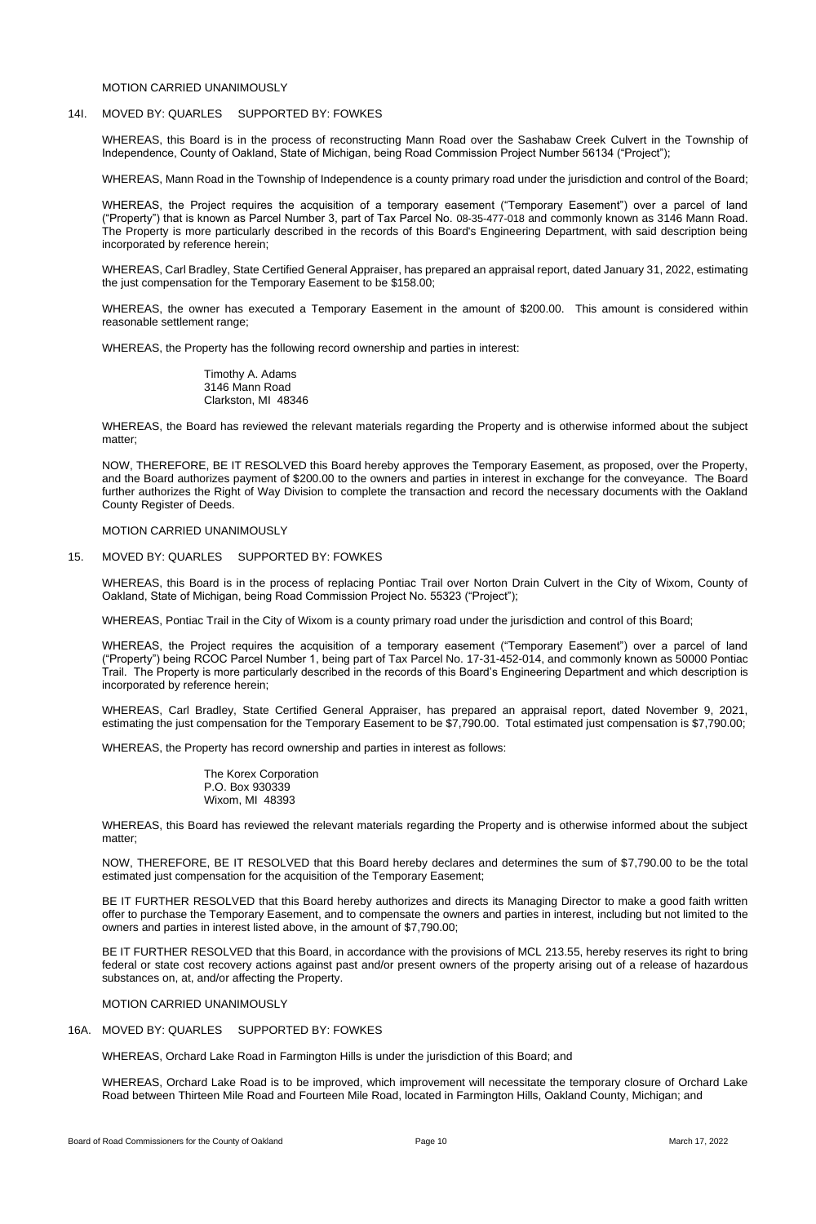WHEREAS, this Board is in the process of reconstructing Mann Road over the Sashabaw Creek Culvert in the Township of Independence, County of Oakland, State of Michigan, being Road Commission Project Number 56134 ("Project");

## MOTION CARRIED UNANIMOUSLY

# 14I. MOVED BY: QUARLES SUPPORTED BY: FOWKES

WHEREAS, Mann Road in the Township of Independence is a county primary road under the jurisdiction and control of the Board;

WHEREAS, the Project requires the acquisition of a temporary easement ("Temporary Easement") over a parcel of land ("Property") that is known as Parcel Number 3, part of Tax Parcel No. 08-35-477-018 and commonly known as 3146 Mann Road. The Property is more particularly described in the records of this Board's Engineering Department, with said description being incorporated by reference herein;

WHEREAS, Carl Bradley, State Certified General Appraiser, has prepared an appraisal report, dated January 31, 2022, estimating the just compensation for the Temporary Easement to be \$158.00;

WHEREAS, the owner has executed a Temporary Easement in the amount of \$200.00. This amount is considered within reasonable settlement range;

WHEREAS, the Property has the following record ownership and parties in interest:

Timothy A. Adams 3146 Mann Road Clarkston, MI 48346

WHEREAS, the Board has reviewed the relevant materials regarding the Property and is otherwise informed about the subject matter;

NOW, THEREFORE, BE IT RESOLVED this Board hereby approves the Temporary Easement, as proposed, over the Property, and the Board authorizes payment of \$200.00 to the owners and parties in interest in exchange for the conveyance. The Board further authorizes the Right of Way Division to complete the transaction and record the necessary documents with the Oakland County Register of Deeds.

MOTION CARRIED UNANIMOUSLY

## 15. MOVED BY: QUARLES SUPPORTED BY: FOWKES

WHEREAS, this Board is in the process of replacing Pontiac Trail over Norton Drain Culvert in the City of Wixom, County of Oakland, State of Michigan, being Road Commission Project No. 55323 ("Project");

WHEREAS, Pontiac Trail in the City of Wixom is a county primary road under the jurisdiction and control of this Board;

WHEREAS, the Project requires the acquisition of a temporary easement ("Temporary Easement") over a parcel of land ("Property") being RCOC Parcel Number 1, being part of Tax Parcel No. 17-31-452-014, and commonly known as 50000 Pontiac Trail. The Property is more particularly described in the records of this Board's Engineering Department and which description is incorporated by reference herein;

WHEREAS, Carl Bradley, State Certified General Appraiser, has prepared an appraisal report, dated November 9, 2021, estimating the just compensation for the Temporary Easement to be \$7,790.00. Total estimated just compensation is \$7,790.00;

WHEREAS, the Property has record ownership and parties in interest as follows:

The Korex Corporation P.O. Box 930339 Wixom, MI 48393

WHEREAS, this Board has reviewed the relevant materials regarding the Property and is otherwise informed about the subject matter;

NOW, THEREFORE, BE IT RESOLVED that this Board hereby declares and determines the sum of \$7,790.00 to be the total estimated just compensation for the acquisition of the Temporary Easement;

BE IT FURTHER RESOLVED that this Board hereby authorizes and directs its Managing Director to make a good faith written offer to purchase the Temporary Easement, and to compensate the owners and parties in interest, including but not limited to the owners and parties in interest listed above, in the amount of \$7,790.00;

BE IT FURTHER RESOLVED that this Board, in accordance with the provisions of MCL 213.55, hereby reserves its right to bring federal or state cost recovery actions against past and/or present owners of the property arising out of a release of hazardous substances on, at, and/or affecting the Property.

MOTION CARRIED UNANIMOUSLY

16A. MOVED BY: QUARLES SUPPORTED BY: FOWKES

WHEREAS, Orchard Lake Road in Farmington Hills is under the jurisdiction of this Board; and

WHEREAS, Orchard Lake Road is to be improved, which improvement will necessitate the temporary closure of Orchard Lake Road between Thirteen Mile Road and Fourteen Mile Road, located in Farmington Hills, Oakland County, Michigan; and

Board of Road Commissioners for the County of Oakland **Page 10** Page 10 **Page 10** March 17, 2022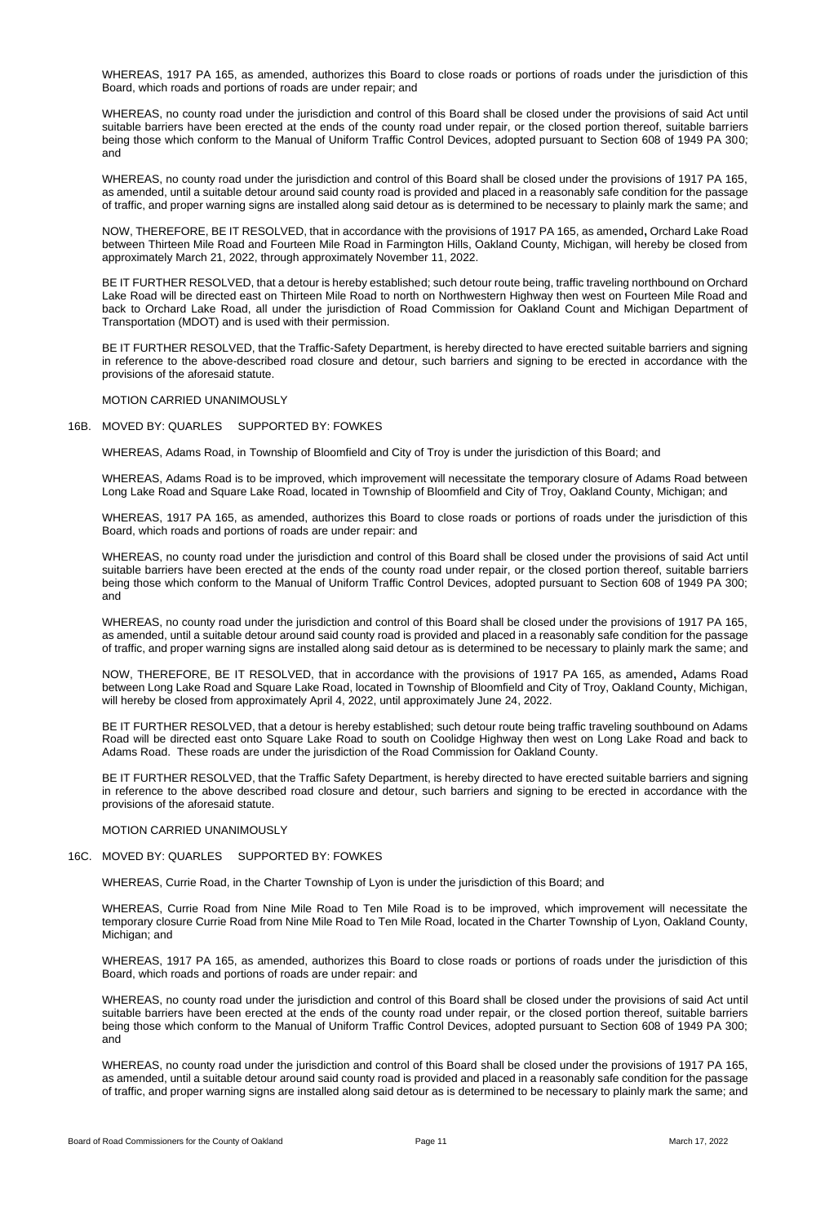WHEREAS, 1917 PA 165, as amended, authorizes this Board to close roads or portions of roads under the jurisdiction of this Board, which roads and portions of roads are under repair; and

WHEREAS, no county road under the jurisdiction and control of this Board shall be closed under the provisions of said Act until suitable barriers have been erected at the ends of the county road under repair, or the closed portion thereof, suitable barriers being those which conform to the Manual of Uniform Traffic Control Devices, adopted pursuant to Section 608 of 1949 PA 300; and

WHEREAS, no county road under the jurisdiction and control of this Board shall be closed under the provisions of 1917 PA 165, as amended, until a suitable detour around said county road is provided and placed in a reasonably safe condition for the passage of traffic, and proper warning signs are installed along said detour as is determined to be necessary to plainly mark the same; and

NOW, THEREFORE, BE IT RESOLVED, that in accordance with the provisions of 1917 PA 165, as amended**,** Orchard Lake Road between Thirteen Mile Road and Fourteen Mile Road in Farmington Hills, Oakland County, Michigan, will hereby be closed from approximately March 21, 2022, through approximately November 11, 2022.

BE IT FURTHER RESOLVED, that a detour is hereby established; such detour route being, traffic traveling northbound on Orchard Lake Road will be directed east on Thirteen Mile Road to north on Northwestern Highway then west on Fourteen Mile Road and back to Orchard Lake Road, all under the jurisdiction of Road Commission for Oakland Count and Michigan Department of Transportation (MDOT) and is used with their permission.

BE IT FURTHER RESOLVED, that the Traffic-Safety Department, is hereby directed to have erected suitable barriers and signing in reference to the above-described road closure and detour, such barriers and signing to be erected in accordance with the provisions of the aforesaid statute.

#### MOTION CARRIED UNANIMOUSLY

### 16B. MOVED BY: QUARLES SUPPORTED BY: FOWKES

WHEREAS, Adams Road, in Township of Bloomfield and City of Troy is under the jurisdiction of this Board; and

WHEREAS, Adams Road is to be improved, which improvement will necessitate the temporary closure of Adams Road between Long Lake Road and Square Lake Road, located in Township of Bloomfield and City of Troy, Oakland County, Michigan; and

WHEREAS, 1917 PA 165, as amended, authorizes this Board to close roads or portions of roads under the jurisdiction of this Board, which roads and portions of roads are under repair: and

WHEREAS, no county road under the jurisdiction and control of this Board shall be closed under the provisions of said Act until suitable barriers have been erected at the ends of the county road under repair, or the closed portion thereof, suitable barriers being those which conform to the Manual of Uniform Traffic Control Devices, adopted pursuant to Section 608 of 1949 PA 300; and

WHEREAS, no county road under the jurisdiction and control of this Board shall be closed under the provisions of 1917 PA 165, as amended, until a suitable detour around said county road is provided and placed in a reasonably safe condition for the passage of traffic, and proper warning signs are installed along said detour as is determined to be necessary to plainly mark the same; and

NOW, THEREFORE, BE IT RESOLVED, that in accordance with the provisions of 1917 PA 165, as amended**,** Adams Road between Long Lake Road and Square Lake Road, located in Township of Bloomfield and City of Troy, Oakland County, Michigan, will hereby be closed from approximately April 4, 2022, until approximately June 24, 2022.

BE IT FURTHER RESOLVED, that a detour is hereby established; such detour route being traffic traveling southbound on Adams Road will be directed east onto Square Lake Road to south on Coolidge Highway then west on Long Lake Road and back to Adams Road. These roads are under the jurisdiction of the Road Commission for Oakland County.

BE IT FURTHER RESOLVED, that the Traffic Safety Department, is hereby directed to have erected suitable barriers and signing in reference to the above described road closure and detour, such barriers and signing to be erected in accordance with the provisions of the aforesaid statute.

## MOTION CARRIED UNANIMOUSLY

# 16C. MOVED BY: QUARLES SUPPORTED BY: FOWKES

WHEREAS, Currie Road, in the Charter Township of Lyon is under the jurisdiction of this Board; and

WHEREAS, Currie Road from Nine Mile Road to Ten Mile Road is to be improved, which improvement will necessitate the temporary closure Currie Road from Nine Mile Road to Ten Mile Road, located in the Charter Township of Lyon, Oakland County, Michigan; and

WHEREAS, 1917 PA 165, as amended, authorizes this Board to close roads or portions of roads under the jurisdiction of this Board, which roads and portions of roads are under repair: and

WHEREAS, no county road under the jurisdiction and control of this Board shall be closed under the provisions of said Act until suitable barriers have been erected at the ends of the county road under repair, or the closed portion thereof, suitable barriers being those which conform to the Manual of Uniform Traffic Control Devices, adopted pursuant to Section 608 of 1949 PA 300; and

WHEREAS, no county road under the jurisdiction and control of this Board shall be closed under the provisions of 1917 PA 165, as amended, until a suitable detour around said county road is provided and placed in a reasonably safe condition for the passage of traffic, and proper warning signs are installed along said detour as is determined to be necessary to plainly mark the same; and

Board of Road Commissioners for the County of Oakland **Page 11** Page 11 March 17, 2022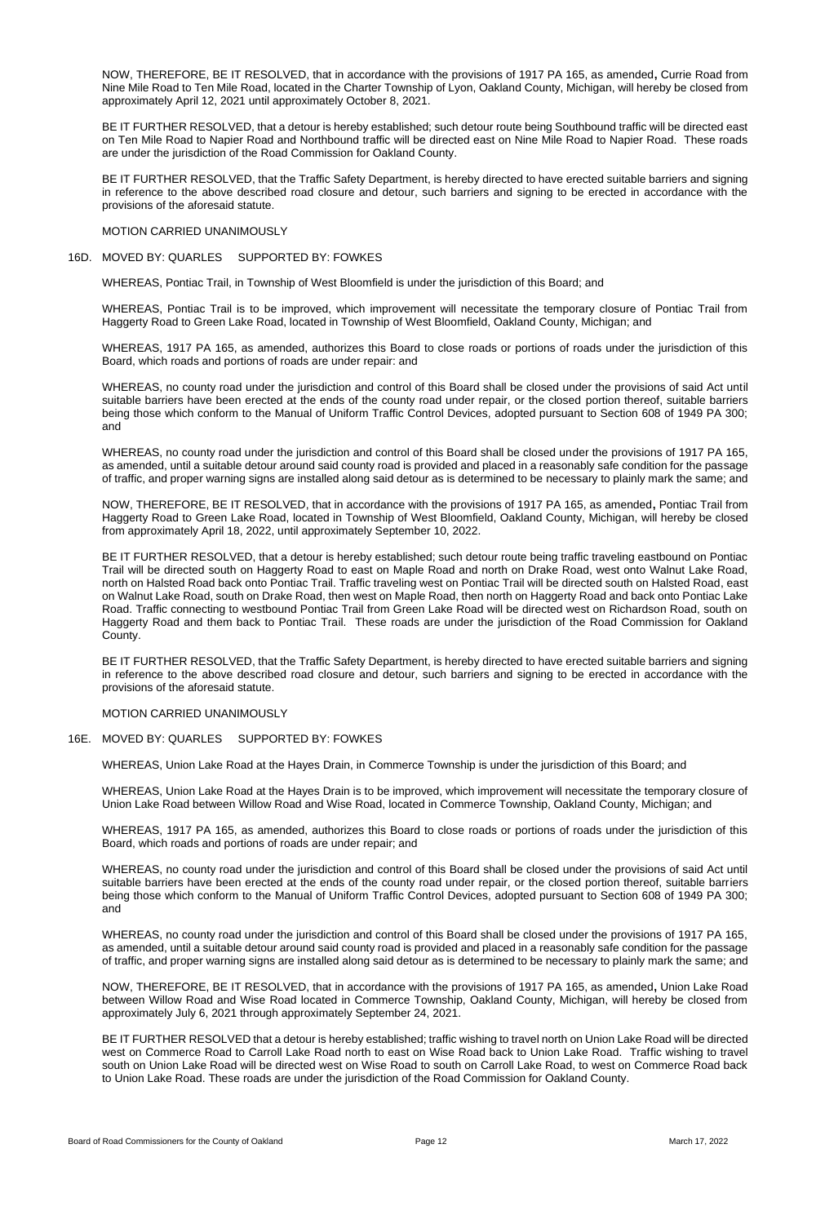NOW, THEREFORE, BE IT RESOLVED, that in accordance with the provisions of 1917 PA 165, as amended**,** Currie Road from Nine Mile Road to Ten Mile Road, located in the Charter Township of Lyon, Oakland County, Michigan, will hereby be closed from approximately April 12, 2021 until approximately October 8, 2021.

BE IT FURTHER RESOLVED, that a detour is hereby established; such detour route being Southbound traffic will be directed east on Ten Mile Road to Napier Road and Northbound traffic will be directed east on Nine Mile Road to Napier Road. These roads are under the jurisdiction of the Road Commission for Oakland County.

BE IT FURTHER RESOLVED, that the Traffic Safety Department, is hereby directed to have erected suitable barriers and signing in reference to the above described road closure and detour, such barriers and signing to be erected in accordance with the provisions of the aforesaid statute.

MOTION CARRIED UNANIMOUSLY

#### 16D. MOVED BY: QUARLES SUPPORTED BY: FOWKES

WHEREAS, Pontiac Trail, in Township of West Bloomfield is under the jurisdiction of this Board; and

WHEREAS, Pontiac Trail is to be improved, which improvement will necessitate the temporary closure of Pontiac Trail from Haggerty Road to Green Lake Road, located in Township of West Bloomfield, Oakland County, Michigan; and

WHEREAS, 1917 PA 165, as amended, authorizes this Board to close roads or portions of roads under the jurisdiction of this Board, which roads and portions of roads are under repair: and

WHEREAS, no county road under the jurisdiction and control of this Board shall be closed under the provisions of said Act until suitable barriers have been erected at the ends of the county road under repair, or the closed portion thereof, suitable barriers being those which conform to the Manual of Uniform Traffic Control Devices, adopted pursuant to Section 608 of 1949 PA 300; and

WHEREAS, no county road under the jurisdiction and control of this Board shall be closed under the provisions of 1917 PA 165, as amended, until a suitable detour around said county road is provided and placed in a reasonably safe condition for the passage of traffic, and proper warning signs are installed along said detour as is determined to be necessary to plainly mark the same; and

NOW, THEREFORE, BE IT RESOLVED, that in accordance with the provisions of 1917 PA 165, as amended**,** Pontiac Trail from Haggerty Road to Green Lake Road, located in Township of West Bloomfield, Oakland County, Michigan, will hereby be closed from approximately April 18, 2022, until approximately September 10, 2022.

BE IT FURTHER RESOLVED, that a detour is hereby established; such detour route being traffic traveling eastbound on Pontiac Trail will be directed south on Haggerty Road to east on Maple Road and north on Drake Road, west onto Walnut Lake Road, north on Halsted Road back onto Pontiac Trail. Traffic traveling west on Pontiac Trail will be directed south on Halsted Road, east on Walnut Lake Road, south on Drake Road, then west on Maple Road, then north on Haggerty Road and back onto Pontiac Lake Road. Traffic connecting to westbound Pontiac Trail from Green Lake Road will be directed west on Richardson Road, south on Haggerty Road and them back to Pontiac Trail. These roads are under the jurisdiction of the Road Commission for Oakland County.

BE IT FURTHER RESOLVED, that the Traffic Safety Department, is hereby directed to have erected suitable barriers and signing in reference to the above described road closure and detour, such barriers and signing to be erected in accordance with the provisions of the aforesaid statute.

MOTION CARRIED UNANIMOUSLY

## 16E. MOVED BY: QUARLES SUPPORTED BY: FOWKES

WHEREAS, Union Lake Road at the Hayes Drain, in Commerce Township is under the jurisdiction of this Board; and

WHEREAS, Union Lake Road at the Hayes Drain is to be improved, which improvement will necessitate the temporary closure of Union Lake Road between Willow Road and Wise Road, located in Commerce Township, Oakland County, Michigan; and

WHEREAS, 1917 PA 165, as amended, authorizes this Board to close roads or portions of roads under the jurisdiction of this Board, which roads and portions of roads are under repair; and

WHEREAS, no county road under the jurisdiction and control of this Board shall be closed under the provisions of said Act until suitable barriers have been erected at the ends of the county road under repair, or the closed portion thereof, suitable barriers being those which conform to the Manual of Uniform Traffic Control Devices, adopted pursuant to Section 608 of 1949 PA 300; and

WHEREAS, no county road under the jurisdiction and control of this Board shall be closed under the provisions of 1917 PA 165, as amended, until a suitable detour around said county road is provided and placed in a reasonably safe condition for the passage of traffic, and proper warning signs are installed along said detour as is determined to be necessary to plainly mark the same; and

NOW, THEREFORE, BE IT RESOLVED, that in accordance with the provisions of 1917 PA 165, as amended**,** Union Lake Road between Willow Road and Wise Road located in Commerce Township, Oakland County, Michigan, will hereby be closed from approximately July 6, 2021 through approximately September 24, 2021.

BE IT FURTHER RESOLVED that a detour is hereby established; traffic wishing to travel north on Union Lake Road will be directed west on Commerce Road to Carroll Lake Road north to east on Wise Road back to Union Lake Road. Traffic wishing to travel south on Union Lake Road will be directed west on Wise Road to south on Carroll Lake Road, to west on Commerce Road back to Union Lake Road. These roads are under the jurisdiction of the Road Commission for Oakland County.

Board of Road Commissioners for the County of Oakland **Page 12** Page 12 March 17, 2022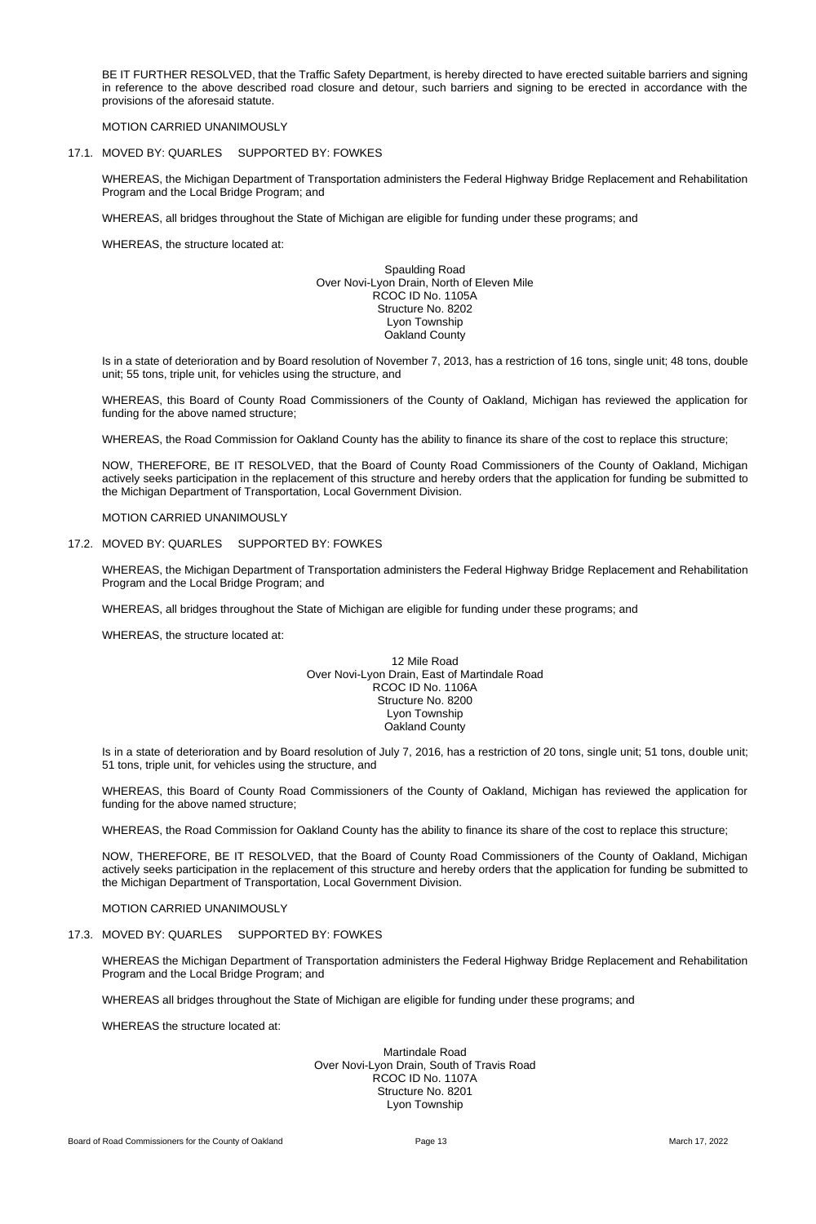BE IT FURTHER RESOLVED, that the Traffic Safety Department, is hereby directed to have erected suitable barriers and signing in reference to the above described road closure and detour, such barriers and signing to be erected in accordance with the provisions of the aforesaid statute.

MOTION CARRIED UNANIMOUSLY

# 17.1. MOVED BY: QUARLES SUPPORTED BY: FOWKES

WHEREAS, the Michigan Department of Transportation administers the Federal Highway Bridge Replacement and Rehabilitation Program and the Local Bridge Program; and

WHEREAS, all bridges throughout the State of Michigan are eligible for funding under these programs; and

WHEREAS, the structure located at:

Spaulding Road Over Novi-Lyon Drain, North of Eleven Mile RCOC ID No. 1105A Structure No. 8202 Lyon Township Oakland County

Is in a state of deterioration and by Board resolution of November 7, 2013, has a restriction of 16 tons, single unit; 48 tons, double unit; 55 tons, triple unit, for vehicles using the structure, and

WHEREAS, this Board of County Road Commissioners of the County of Oakland, Michigan has reviewed the application for funding for the above named structure;

WHEREAS, the Road Commission for Oakland County has the ability to finance its share of the cost to replace this structure;

NOW, THEREFORE, BE IT RESOLVED, that the Board of County Road Commissioners of the County of Oakland, Michigan actively seeks participation in the replacement of this structure and hereby orders that the application for funding be submitted to the Michigan Department of Transportation, Local Government Division.

MOTION CARRIED UNANIMOUSLY

## 17.2. MOVED BY: QUARLES SUPPORTED BY: FOWKES

WHEREAS, the Michigan Department of Transportation administers the Federal Highway Bridge Replacement and Rehabilitation Program and the Local Bridge Program; and

WHEREAS, all bridges throughout the State of Michigan are eligible for funding under these programs; and

WHEREAS, the structure located at:

12 Mile Road Over Novi-Lyon Drain, East of Martindale Road RCOC ID No. 1106A Structure No. 8200 Lyon Township Oakland County

Is in a state of deterioration and by Board resolution of July 7, 2016, has a restriction of 20 tons, single unit; 51 tons, double unit; 51 tons, triple unit, for vehicles using the structure, and

WHEREAS, this Board of County Road Commissioners of the County of Oakland, Michigan has reviewed the application for funding for the above named structure;

WHEREAS, the Road Commission for Oakland County has the ability to finance its share of the cost to replace this structure;

NOW, THEREFORE, BE IT RESOLVED, that the Board of County Road Commissioners of the County of Oakland, Michigan actively seeks participation in the replacement of this structure and hereby orders that the application for funding be submitted to the Michigan Department of Transportation, Local Government Division.

MOTION CARRIED UNANIMOUSLY

# 17.3. MOVED BY: QUARLES SUPPORTED BY: FOWKES

WHEREAS the Michigan Department of Transportation administers the Federal Highway Bridge Replacement and Rehabilitation Program and the Local Bridge Program; and

WHEREAS all bridges throughout the State of Michigan are eligible for funding under these programs; and

WHEREAS the structure located at:

Martindale Road Over Novi-Lyon Drain, South of Travis Road RCOC ID No. 1107A Structure No. 8201 Lyon Township

Board of Road Commissioners for the County of Oakland **Page 13** Page 13 March 17, 2022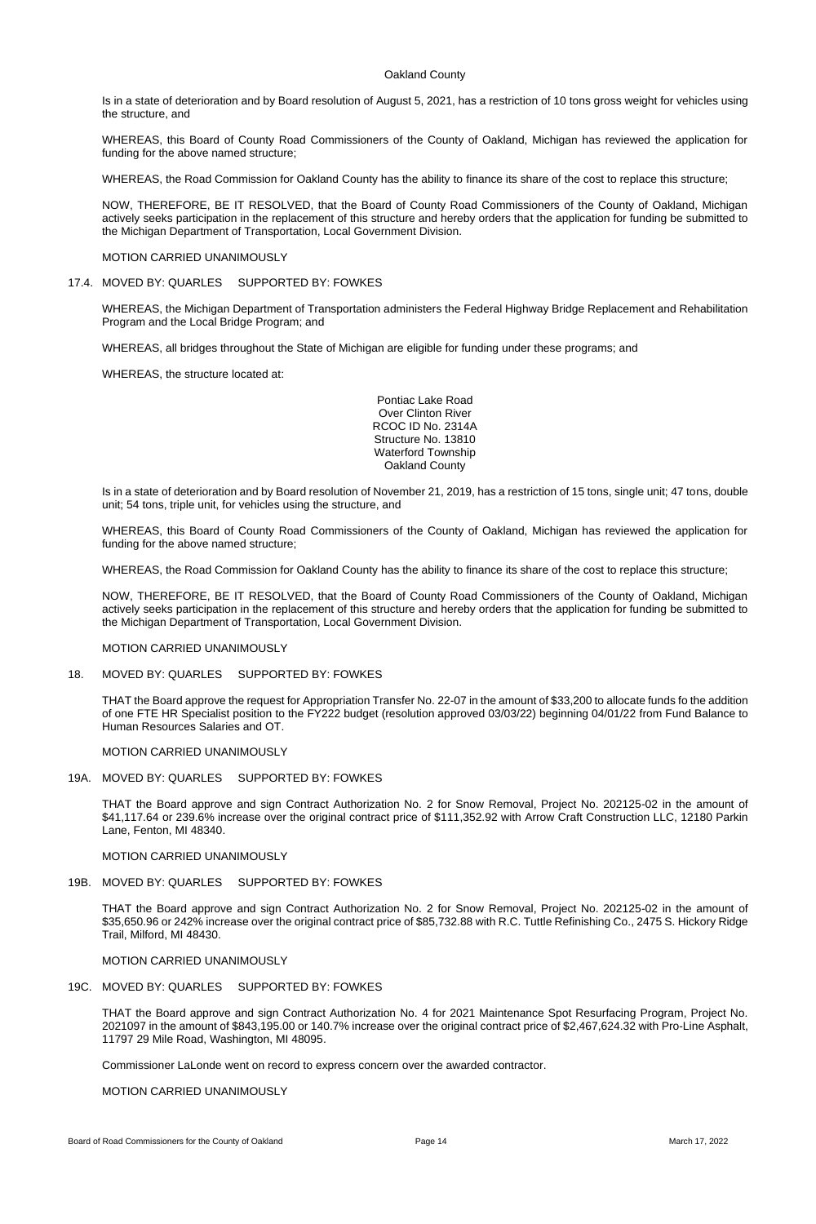# Oakland County

Is in a state of deterioration and by Board resolution of August 5, 2021, has a restriction of 10 tons gross weight for vehicles using the structure, and

WHEREAS, this Board of County Road Commissioners of the County of Oakland, Michigan has reviewed the application for funding for the above named structure;

WHEREAS, the Road Commission for Oakland County has the ability to finance its share of the cost to replace this structure;

NOW, THEREFORE, BE IT RESOLVED, that the Board of County Road Commissioners of the County of Oakland, Michigan actively seeks participation in the replacement of this structure and hereby orders that the application for funding be submitted to the Michigan Department of Transportation, Local Government Division.

MOTION CARRIED UNANIMOUSLY

17.4. MOVED BY: QUARLES SUPPORTED BY: FOWKES

WHEREAS, the Michigan Department of Transportation administers the Federal Highway Bridge Replacement and Rehabilitation Program and the Local Bridge Program; and

WHEREAS, all bridges throughout the State of Michigan are eligible for funding under these programs; and

WHEREAS, the structure located at:

Pontiac Lake Road Over Clinton River RCOC ID No. 2314A Structure No. 13810 Waterford Township Oakland County

Is in a state of deterioration and by Board resolution of November 21, 2019, has a restriction of 15 tons, single unit; 47 tons, double unit; 54 tons, triple unit, for vehicles using the structure, and

WHEREAS, this Board of County Road Commissioners of the County of Oakland, Michigan has reviewed the application for funding for the above named structure;

WHEREAS, the Road Commission for Oakland County has the ability to finance its share of the cost to replace this structure;

NOW, THEREFORE, BE IT RESOLVED, that the Board of County Road Commissioners of the County of Oakland, Michigan actively seeks participation in the replacement of this structure and hereby orders that the application for funding be submitted to the Michigan Department of Transportation, Local Government Division.

MOTION CARRIED UNANIMOUSLY

## 18. MOVED BY: QUARLES SUPPORTED BY: FOWKES

THAT the Board approve the request for Appropriation Transfer No. 22-07 in the amount of \$33,200 to allocate funds fo the addition of one FTE HR Specialist position to the FY222 budget (resolution approved 03/03/22) beginning 04/01/22 from Fund Balance to Human Resources Salaries and OT.

MOTION CARRIED UNANIMOUSLY

# 19A. MOVED BY: QUARLES SUPPORTED BY: FOWKES

THAT the Board approve and sign Contract Authorization No. 2 for Snow Removal, Project No. 202125-02 in the amount of \$41,117.64 or 239.6% increase over the original contract price of \$111,352.92 with Arrow Craft Construction LLC, 12180 Parkin Lane, Fenton, MI 48340.

## MOTION CARRIED UNANIMOUSLY

# 19B. MOVED BY: QUARLES SUPPORTED BY: FOWKES

THAT the Board approve and sign Contract Authorization No. 2 for Snow Removal, Project No. 202125-02 in the amount of \$35,650.96 or 242% increase over the original contract price of \$85,732.88 with R.C. Tuttle Refinishing Co., 2475 S. Hickory Ridge Trail, Milford, MI 48430.

# MOTION CARRIED UNANIMOUSLY

# 19C. MOVED BY: QUARLES SUPPORTED BY: FOWKES

THAT the Board approve and sign Contract Authorization No. 4 for 2021 Maintenance Spot Resurfacing Program, Project No. 2021097 in the amount of \$843,195.00 or 140.7% increase over the original contract price of \$2,467,624.32 with Pro-Line Asphalt, 11797 29 Mile Road, Washington, MI 48095.

Commissioner LaLonde went on record to express concern over the awarded contractor.

MOTION CARRIED UNANIMOUSLY

Board of Road Commissioners for the County of Oakland **Page 14** Page 14 March 17, 2022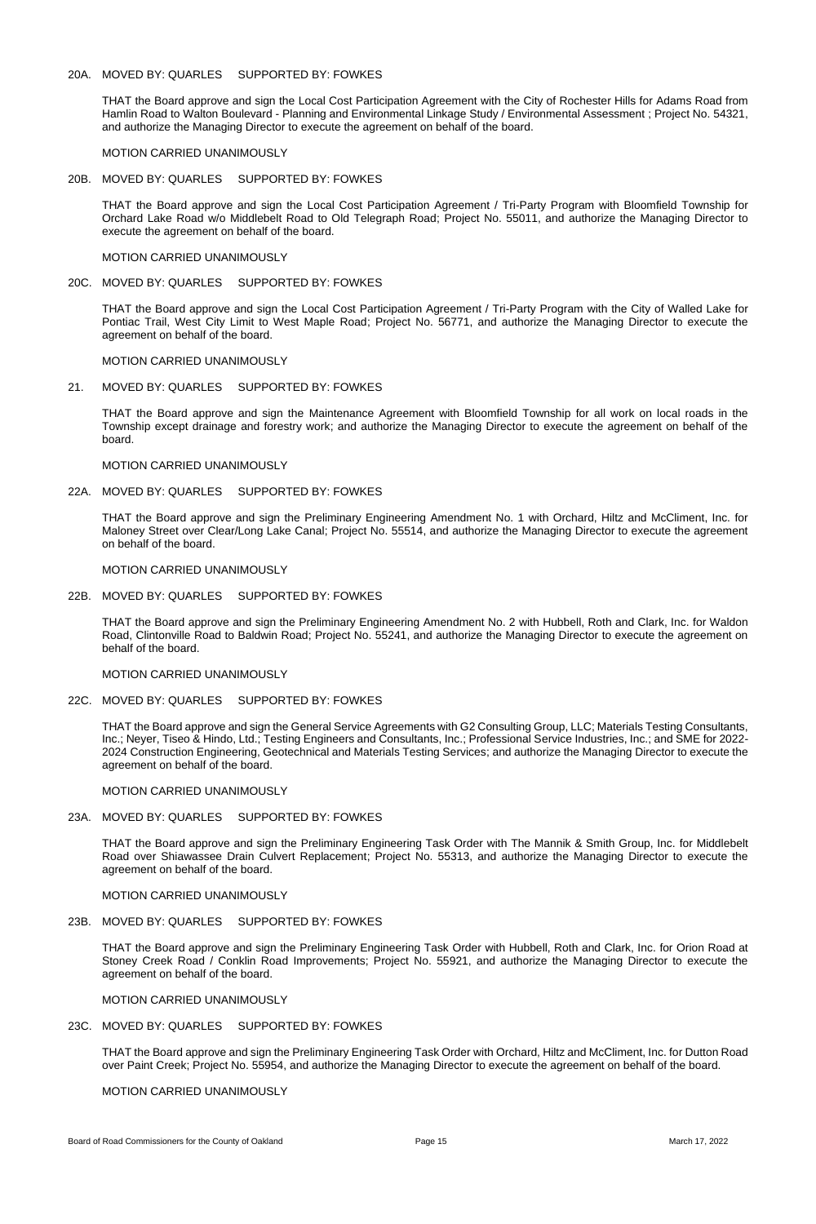# 20A. MOVED BY: QUARLES SUPPORTED BY: FOWKES

THAT the Board approve and sign the Local Cost Participation Agreement with the City of Rochester Hills for Adams Road from Hamlin Road to Walton Boulevard - Planning and Environmental Linkage Study / Environmental Assessment ; Project No. 54321, and authorize the Managing Director to execute the agreement on behalf of the board.

MOTION CARRIED UNANIMOUSLY

## 20B. MOVED BY: QUARLES SUPPORTED BY: FOWKES

THAT the Board approve and sign the Local Cost Participation Agreement / Tri-Party Program with Bloomfield Township for Orchard Lake Road w/o Middlebelt Road to Old Telegraph Road; Project No. 55011, and authorize the Managing Director to execute the agreement on behalf of the board.

MOTION CARRIED UNANIMOUSLY

20C. MOVED BY: QUARLES SUPPORTED BY: FOWKES

THAT the Board approve and sign the Local Cost Participation Agreement / Tri-Party Program with the City of Walled Lake for Pontiac Trail, West City Limit to West Maple Road; Project No. 56771, and authorize the Managing Director to execute the agreement on behalf of the board.

MOTION CARRIED UNANIMOUSLY

21. MOVED BY: QUARLES SUPPORTED BY: FOWKES

THAT the Board approve and sign the Maintenance Agreement with Bloomfield Township for all work on local roads in the Township except drainage and forestry work; and authorize the Managing Director to execute the agreement on behalf of the board.

MOTION CARRIED UNANIMOUSLY

22A. MOVED BY: QUARLES SUPPORTED BY: FOWKES

THAT the Board approve and sign the Preliminary Engineering Amendment No. 1 with Orchard, Hiltz and McCliment, Inc. for Maloney Street over Clear/Long Lake Canal; Project No. 55514, and authorize the Managing Director to execute the agreement on behalf of the board.

MOTION CARRIED UNANIMOUSLY

22B. MOVED BY: QUARLES SUPPORTED BY: FOWKES

THAT the Board approve and sign the Preliminary Engineering Amendment No. 2 with Hubbell, Roth and Clark, Inc. for Waldon Road, Clintonville Road to Baldwin Road; Project No. 55241, and authorize the Managing Director to execute the agreement on behalf of the board.

MOTION CARRIED UNANIMOUSLY

22C. MOVED BY: QUARLES SUPPORTED BY: FOWKES

THAT the Board approve and sign the General Service Agreements with G2 Consulting Group, LLC; Materials Testing Consultants, Inc.; Neyer, Tiseo & Hindo, Ltd.; Testing Engineers and Consultants, Inc.; Professional Service Industries, Inc.; and SME for 2022-2024 Construction Engineering, Geotechnical and Materials Testing Services; and authorize the Managing Director to execute the agreement on behalf of the board.

MOTION CARRIED UNANIMOUSLY

23A. MOVED BY: QUARLES SUPPORTED BY: FOWKES

THAT the Board approve and sign the Preliminary Engineering Task Order with The Mannik & Smith Group, Inc. for Middlebelt

Road over Shiawassee Drain Culvert Replacement; Project No. 55313, and authorize the Managing Director to execute the agreement on behalf of the board.

MOTION CARRIED UNANIMOUSLY

# 23B. MOVED BY: QUARLES SUPPORTED BY: FOWKES

THAT the Board approve and sign the Preliminary Engineering Task Order with Hubbell, Roth and Clark, Inc. for Orion Road at Stoney Creek Road / Conklin Road Improvements; Project No. 55921, and authorize the Managing Director to execute the agreement on behalf of the board.

MOTION CARRIED UNANIMOUSLY

# 23C. MOVED BY: QUARLES SUPPORTED BY: FOWKES

THAT the Board approve and sign the Preliminary Engineering Task Order with Orchard, Hiltz and McCliment, Inc. for Dutton Road over Paint Creek; Project No. 55954, and authorize the Managing Director to execute the agreement on behalf of the board.

# MOTION CARRIED UNANIMOUSLY

Board of Road Commissioners for the County of Oakland **Page 15** Page 15 March 17, 2022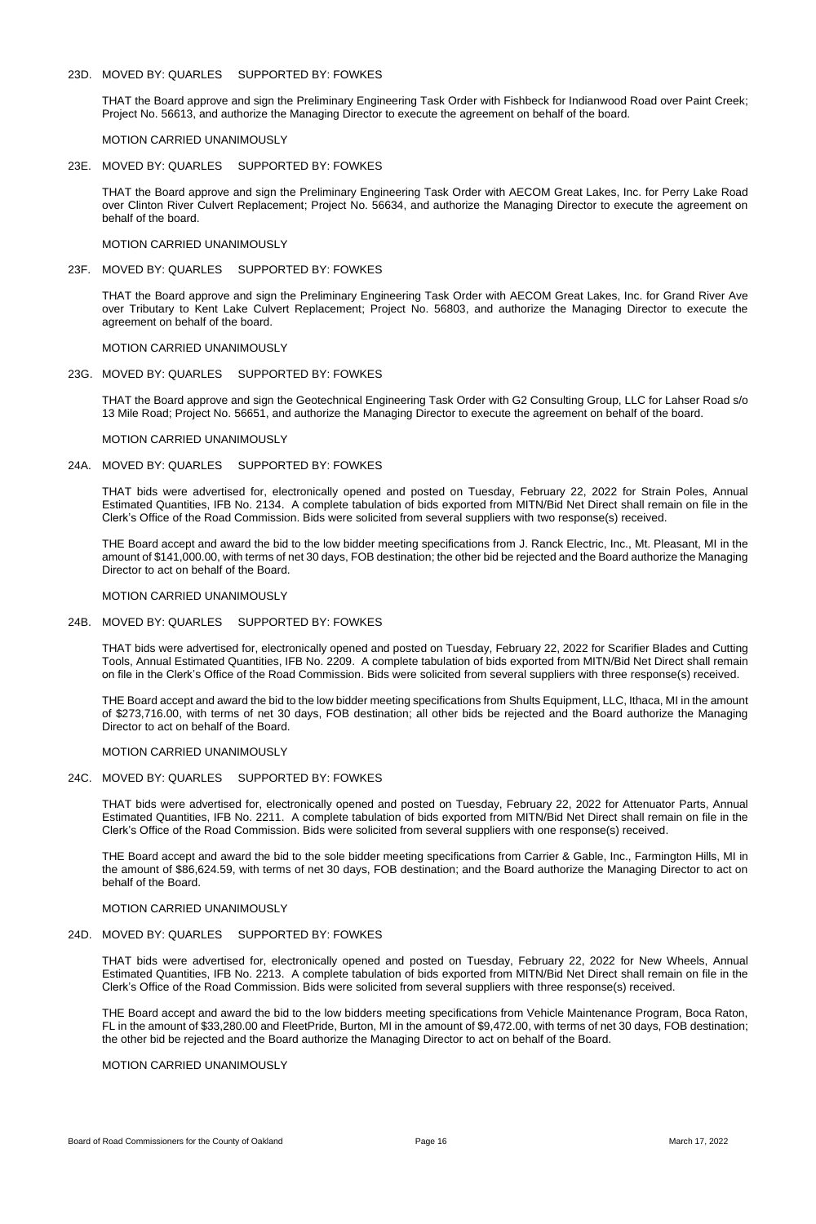### 23D. MOVED BY: QUARLES SUPPORTED BY: FOWKES

THAT the Board approve and sign the Preliminary Engineering Task Order with Fishbeck for Indianwood Road over Paint Creek; Project No. 56613, and authorize the Managing Director to execute the agreement on behalf of the board.

MOTION CARRIED UNANIMOUSLY

#### 23E. MOVED BY: QUARLES SUPPORTED BY: FOWKES

THAT the Board approve and sign the Preliminary Engineering Task Order with AECOM Great Lakes, Inc. for Perry Lake Road over Clinton River Culvert Replacement; Project No. 56634, and authorize the Managing Director to execute the agreement on behalf of the board.

#### MOTION CARRIED UNANIMOUSLY

#### 23F. MOVED BY: QUARLES SUPPORTED BY: FOWKES

THAT the Board approve and sign the Preliminary Engineering Task Order with AECOM Great Lakes, Inc. for Grand River Ave over Tributary to Kent Lake Culvert Replacement; Project No. 56803, and authorize the Managing Director to execute the agreement on behalf of the board.

#### MOTION CARRIED UNANIMOUSLY

## 23G. MOVED BY: QUARLES SUPPORTED BY: FOWKES

THAT the Board approve and sign the Geotechnical Engineering Task Order with G2 Consulting Group, LLC for Lahser Road s/o 13 Mile Road; Project No. 56651, and authorize the Managing Director to execute the agreement on behalf of the board.

MOTION CARRIED UNANIMOUSLY

## 24A. MOVED BY: QUARLES SUPPORTED BY: FOWKES

THAT bids were advertised for, electronically opened and posted on Tuesday, February 22, 2022 for Strain Poles, Annual Estimated Quantities, IFB No. 2134. A complete tabulation of bids exported from MITN/Bid Net Direct shall remain on file in the Clerk's Office of the Road Commission. Bids were solicited from several suppliers with two response(s) received.

THE Board accept and award the bid to the low bidder meeting specifications from J. Ranck Electric, Inc., Mt. Pleasant, MI in the amount of \$141,000.00, with terms of net 30 days, FOB destination; the other bid be rejected and the Board authorize the Managing Director to act on behalf of the Board.

#### MOTION CARRIED UNANIMOUSLY

## 24B. MOVED BY: QUARLES SUPPORTED BY: FOWKES

THAT bids were advertised for, electronically opened and posted on Tuesday, February 22, 2022 for Scarifier Blades and Cutting Tools, Annual Estimated Quantities, IFB No. 2209. A complete tabulation of bids exported from MITN/Bid Net Direct shall remain on file in the Clerk's Office of the Road Commission. Bids were solicited from several suppliers with three response(s) received.

THE Board accept and award the bid to the low bidder meeting specifications from Shults Equipment, LLC, Ithaca, MI in the amount of \$273,716.00, with terms of net 30 days, FOB destination; all other bids be rejected and the Board authorize the Managing Director to act on behalf of the Board.

#### MOTION CARRIED UNANIMOUSLY

## 24C. MOVED BY: QUARLES SUPPORTED BY: FOWKES

THAT bids were advertised for, electronically opened and posted on Tuesday, February 22, 2022 for Attenuator Parts, Annual Estimated Quantities, IFB No. 2211. A complete tabulation of bids exported from MITN/Bid Net Direct shall remain on file in the Clerk's Office of the Road Commission. Bids were solicited from several suppliers with one response(s) received.

THE Board accept and award the bid to the sole bidder meeting specifications from Carrier & Gable, Inc., Farmington Hills, MI in the amount of \$86,624.59, with terms of net 30 days, FOB destination; and the Board authorize the Managing Director to act on behalf of the Board.

# MOTION CARRIED UNANIMOUSLY

# 24D. MOVED BY: QUARLES SUPPORTED BY: FOWKES

THAT bids were advertised for, electronically opened and posted on Tuesday, February 22, 2022 for New Wheels, Annual Estimated Quantities, IFB No. 2213. A complete tabulation of bids exported from MITN/Bid Net Direct shall remain on file in the Clerk's Office of the Road Commission. Bids were solicited from several suppliers with three response(s) received.

THE Board accept and award the bid to the low bidders meeting specifications from Vehicle Maintenance Program, Boca Raton, FL in the amount of \$33,280.00 and FleetPride, Burton, MI in the amount of \$9,472.00, with terms of net 30 days, FOB destination; the other bid be rejected and the Board authorize the Managing Director to act on behalf of the Board.

# MOTION CARRIED UNANIMOUSLY

Board of Road Commissioners for the County of Oakland **Page 16** Page 16 March 17, 2022